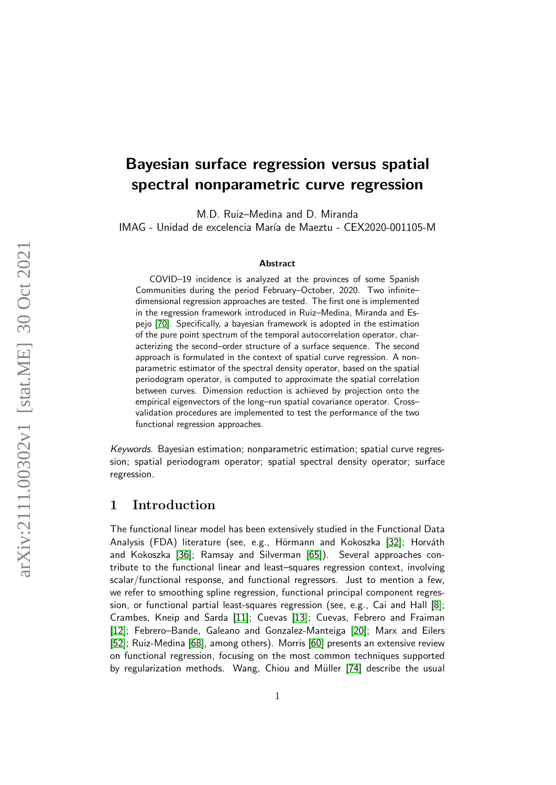# arXiv:2111.00302v1 [stat.ME] 30 Oct 2021 arXiv:2111.00302v1 [stat.ME] 30 Oct 2021

# Bayesian surface regression versus spatial spectral nonparametric curve regression

M.D. Ruiz–Medina and D. Miranda

IMAG - Unidad de excelencia María de Maeztu - CEX2020-001105-M

### Abstract

COVID–19 incidence is analyzed at the provinces of some Spanish Communities during the period February–October, 2020. Two infinite– dimensional regression approaches are tested. The first one is implemented in the regression framework introduced in Ruiz–Medina, Miranda and Espejo [\[70\]](#page-26-0). Specifically, a bayesian framework is adopted in the estimation of the pure point spectrum of the temporal autocorrelation operator, characterizing the second–order structure of a surface sequence. The second approach is formulated in the context of spatial curve regression. A nonparametric estimator of the spectral density operator, based on the spatial periodogram operator, is computed to approximate the spatial correlation between curves. Dimension reduction is achieved by projection onto the empirical eigenvectors of the long–run spatial covariance operator. Cross– validation procedures are implemented to test the performance of the two functional regression approaches.

Keywords. Bayesian estimation; nonparametric estimation; spatial curve regression; spatial periodogram operator; spatial spectral density operator; surface regression.

# 1 Introduction

The functional linear model has been extensively studied in the Functional Data Analysis (FDA) literature (see, e.g., Hörmann and Kokoszka [\[32\]](#page-23-0); Horváth and Kokoszka [\[36\]](#page-24-0); Ramsay and Silverman [\[65\]](#page-26-1)). Several approaches contribute to the functional linear and least–squares regression context, involving scalar/functional response, and functional regressors. Just to mention a few, we refer to smoothing spline regression, functional principal component regression, or functional partial least-squares regression (see, e.g., Cai and Hall [\[8\]](#page-22-0); Crambes, Kneip and Sarda [\[11\]](#page-22-1); Cuevas [\[13\]](#page-22-2); Cuevas, Febrero and Fraiman [\[12\]](#page-22-3); Febrero-Bande, Galeano and Gonzalez-Manteiga [\[20\]](#page-23-1); Marx and Eilers [\[52\]](#page-25-0); Ruiz-Medina [\[68\]](#page-26-2), among others). Morris [\[60\]](#page-25-1) presents an extensive review on functional regression, focusing on the most common techniques supported by regularization methods. Wang, Chiou and Müller [\[74\]](#page-26-3) describe the usual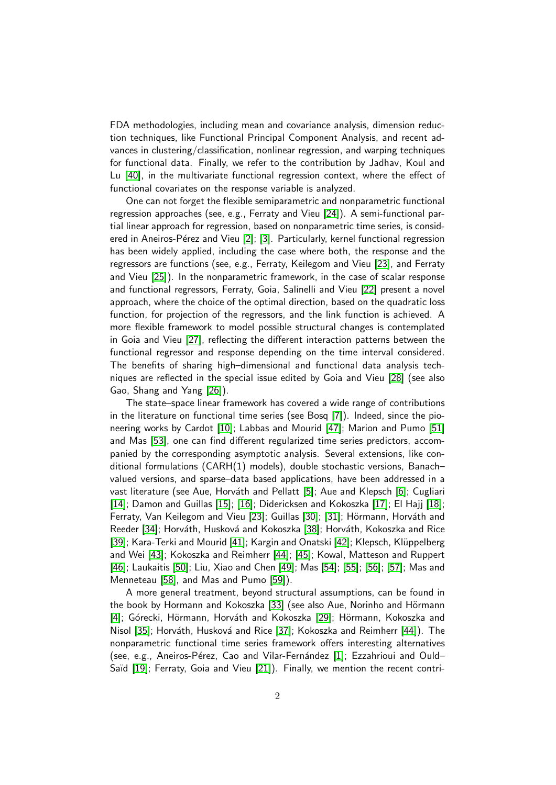FDA methodologies, including mean and covariance analysis, dimension reduction techniques, like Functional Principal Component Analysis, and recent advances in clustering/classification, nonlinear regression, and warping techniques for functional data. Finally, we refer to the contribution by Jadhav, Koul and Lu [\[40\]](#page-24-1), in the multivariate functional regression context, where the effect of functional covariates on the response variable is analyzed.

One can not forget the flexible semiparametric and nonparametric functional regression approaches (see, e.g., Ferraty and Vieu [\[24\]](#page-23-2)). A semi-functional partial linear approach for regression, based on nonparametric time series, is consid-ered in Aneiros-Pérez and Vieu [\[2\]](#page-21-0); [\[3\]](#page-21-1). Particularly, kernel functional regression has been widely applied, including the case where both, the response and the regressors are functions (see, e.g., Ferraty, Keilegom and Vieu [\[23\]](#page-23-3), and Ferraty and Vieu [\[25\]](#page-23-4)). In the nonparametric framework, in the case of scalar response and functional regressors, Ferraty, Goia, Salinelli and Vieu [\[22\]](#page-23-5) present a novel approach, where the choice of the optimal direction, based on the quadratic loss function, for projection of the regressors, and the link function is achieved. A more flexible framework to model possible structural changes is contemplated in Goia and Vieu [\[27\]](#page-23-6), reflecting the different interaction patterns between the functional regressor and response depending on the time interval considered. The benefits of sharing high–dimensional and functional data analysis techniques are reflected in the special issue edited by Goia and Vieu [\[28\]](#page-23-7) (see also Gao, Shang and Yang [\[26\]](#page-23-8)).

The state–space linear framework has covered a wide range of contributions in the literature on functional time series (see Bosq [\[7\]](#page-22-4)). Indeed, since the pioneering works by Cardot [\[10\]](#page-22-5); Labbas and Mourid [\[47\]](#page-24-2); Marion and Pumo [\[51\]](#page-25-2) and Mas [\[53\]](#page-25-3), one can find different regularized time series predictors, accompanied by the corresponding asymptotic analysis. Several extensions, like conditional formulations (CARH(1) models), double stochastic versions, Banach– valued versions, and sparse–data based applications, have been addressed in a vast literature (see Aue, Horváth and Pellatt [\[5\]](#page-22-6); Aue and Klepsch [\[6\]](#page-22-7); Cugliari [\[14\]](#page-22-8); Damon and Guillas [\[15\]](#page-22-9); [\[16\]](#page-22-10); Didericksen and Kokoszka [\[17\]](#page-22-11); El Hajj [\[18\]](#page-22-12); Ferraty, Van Keilegom and Vieu [\[23\]](#page-23-3); Guillas [\[30\]](#page-23-9); [\[31\]](#page-23-10); Hörmann, Horváth and Reeder [\[34\]](#page-24-3); Horváth, Husková and Kokoszka [\[38\]](#page-24-4); Horváth, Kokoszka and Rice [\[39\]](#page-24-5); Kara-Terki and Mourid [\[41\]](#page-24-6); Kargin and Onatski [\[42\]](#page-24-7); Klepsch, Klüppelberg and Wei [\[43\]](#page-24-8); Kokoszka and Reimherr [\[44\]](#page-24-9); [\[45\]](#page-24-10); Kowal, Matteson and Ruppert [\[46\]](#page-24-11); Laukaitis [\[50\]](#page-25-4); Liu, Xiao and Chen [\[49\]](#page-25-5); Mas [\[54\]](#page-25-6); [\[55\]](#page-25-7); [\[56\]](#page-25-8); [\[57\]](#page-25-9); Mas and Menneteau [\[58\]](#page-25-10), and Mas and Pumo [\[59\]](#page-25-11)).

A more general treatment, beyond structural assumptions, can be found in the book by Hormann and Kokoszka [\[33\]](#page-23-11) (see also Aue, Norinho and Hörmann [\[4\]](#page-21-2); Górecki, Hörmann, Horváth and Kokoszka [\[29\]](#page-23-12); Hörmann, Kokoszka and Nisol [\[35\]](#page-24-12); Horváth, Husková and Rice [\[37\]](#page-24-13); Kokoszka and Reimherr [\[44\]](#page-24-9)). The nonparametric functional time series framework offers interesting alternatives (see, e.g., Aneiros-Pérez, Cao and Vilar-Fernández  $[1]$ ; Ezzahrioui and Ould– Saïd [\[19\]](#page-22-13); Ferraty, Goia and Vieu [\[21\]](#page-23-13)). Finally, we mention the recent contri-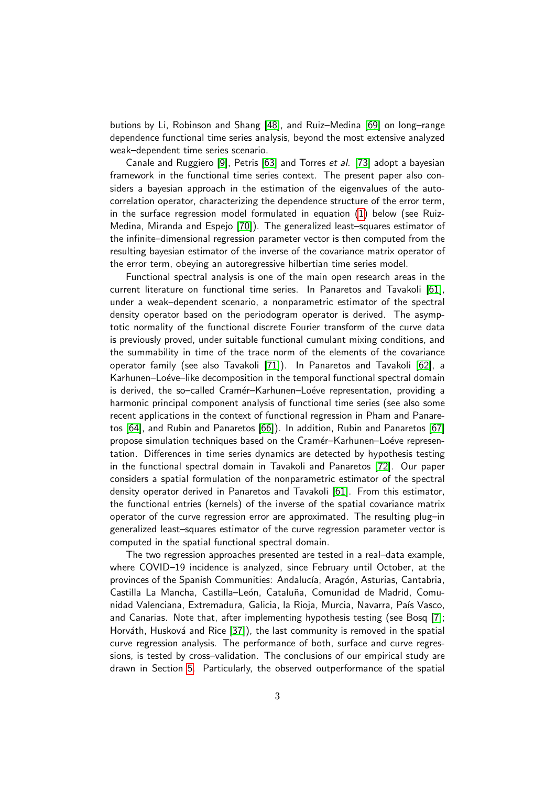butions by Li, Robinson and Shang [\[48\]](#page-24-14), and Ruiz–Medina [\[69\]](#page-26-4) on long–range dependence functional time series analysis, beyond the most extensive analyzed weak–dependent time series scenario.

Canale and Ruggiero [\[9\]](#page-22-14), Petris [\[63\]](#page-25-12) and Torres et al. [\[73\]](#page-26-5) adopt a bayesian framework in the functional time series context. The present paper also considers a bayesian approach in the estimation of the eigenvalues of the autocorrelation operator, characterizing the dependence structure of the error term, in the surface regression model formulated in equation [\(1\)](#page-3-0) below (see Ruiz-Medina, Miranda and Espejo [\[70\]](#page-26-0)). The generalized least–squares estimator of the infinite–dimensional regression parameter vector is then computed from the resulting bayesian estimator of the inverse of the covariance matrix operator of the error term, obeying an autoregressive hilbertian time series model.

Functional spectral analysis is one of the main open research areas in the current literature on functional time series. In Panaretos and Tavakoli [\[61\]](#page-25-13), under a weak–dependent scenario, a nonparametric estimator of the spectral density operator based on the periodogram operator is derived. The asymptotic normality of the functional discrete Fourier transform of the curve data is previously proved, under suitable functional cumulant mixing conditions, and the summability in time of the trace norm of the elements of the covariance operator family (see also Tavakoli [\[71\]](#page-26-6)). In Panaretos and Tavakoli [\[62\]](#page-25-14), a Karhunen–Loéve–like decomposition in the temporal functional spectral domain is derived, the so-called Cramér-Karhunen-Loéve representation, providing a harmonic principal component analysis of functional time series (see also some recent applications in the context of functional regression in Pham and Panaretos [\[64\]](#page-26-7), and Rubin and Panaretos [\[66\]](#page-26-8)). In addition, Rubin and Panaretos [\[67\]](#page-26-9) propose simulation techniques based on the Cramér–Karhunen–Loéve representation. Differences in time series dynamics are detected by hypothesis testing in the functional spectral domain in Tavakoli and Panaretos [\[72\]](#page-26-10). Our paper considers a spatial formulation of the nonparametric estimator of the spectral density operator derived in Panaretos and Tavakoli [\[61\]](#page-25-13). From this estimator, the functional entries (kernels) of the inverse of the spatial covariance matrix operator of the curve regression error are approximated. The resulting plug–in generalized least–squares estimator of the curve regression parameter vector is computed in the spatial functional spectral domain.

The two regression approaches presented are tested in a real–data example, where COVID–19 incidence is analyzed, since February until October, at the provinces of the Spanish Communities: Andalucía, Aragón, Asturias, Cantabria, Castilla La Mancha, Castilla-León, Cataluña, Comunidad de Madrid, Comunidad Valenciana, Extremadura, Galicia, la Rioja, Murcia, Navarra, País Vasco, and Canarias. Note that, after implementing hypothesis testing (see Bosq [\[7\]](#page-22-4); Horváth, Husková and Rice [\[37\]](#page-24-13)), the last community is removed in the spatial curve regression analysis. The performance of both, surface and curve regressions, is tested by cross–validation. The conclusions of our empirical study are drawn in Section [5.](#page-20-0) Particularly, the observed outperformance of the spatial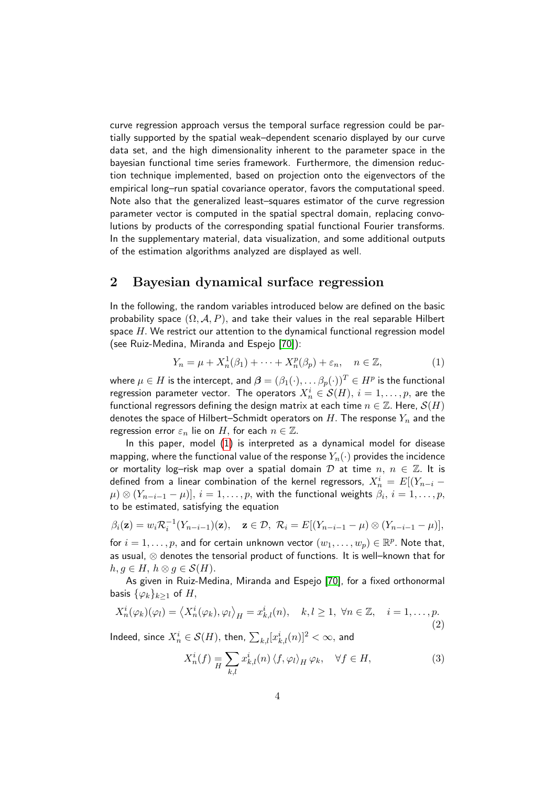curve regression approach versus the temporal surface regression could be partially supported by the spatial weak–dependent scenario displayed by our curve data set, and the high dimensionality inherent to the parameter space in the bayesian functional time series framework. Furthermore, the dimension reduction technique implemented, based on projection onto the eigenvectors of the empirical long–run spatial covariance operator, favors the computational speed. Note also that the generalized least–squares estimator of the curve regression parameter vector is computed in the spatial spectral domain, replacing convolutions by products of the corresponding spatial functional Fourier transforms. In the supplementary material, data visualization, and some additional outputs of the estimation algorithms analyzed are displayed as well.

# 2 Bayesian dynamical surface regression

In the following, the random variables introduced below are defined on the basic probability space  $(\Omega, \mathcal{A}, P)$ , and take their values in the real separable Hilbert space  $H$ . We restrict our attention to the dynamical functional regression model (see Ruiz-Medina, Miranda and Espejo [\[70\]](#page-26-0)):

<span id="page-3-0"></span>
$$
Y_n = \mu + X_n^1(\beta_1) + \dots + X_n^p(\beta_p) + \varepsilon_n, \quad n \in \mathbb{Z}, \tag{1}
$$

where  $\mu\in H$  is the intercept, and  $\bm{\beta}=(\beta_1(\cdot),\ldots\beta_p(\cdot))^T\in H^p$  is the functional regression parameter vector. The operators  $X_n^i \in \mathcal{S}(H),\,i=1,\ldots,p,$  are the functional regressors defining the design matrix at each time  $n \in \mathbb{Z}$ . Here,  $\mathcal{S}(H)$ denotes the space of Hilbert–Schmidt operators on H. The response  $Y_n$  and the regression error  $\varepsilon_n$  lie on H, for each  $n \in \mathbb{Z}$ .

In this paper, model [\(1\)](#page-3-0) is interpreted as a dynamical model for disease mapping, where the functional value of the response  $Y_n(\cdot)$  provides the incidence or mortality log-risk map over a spatial domain  $D$  at time  $n, n \in \mathbb{Z}$ . It is defined from a linear combination of the kernel regressors,  $X^i_n\,=\,E[(Y_{n-i} \mu)\otimes(Y_{n-i-1}-\mu)],\,i=1,\ldots,p,$  with the functional weights  $\beta_i,\,i=1,\ldots,p,$ to be estimated, satisfying the equation

$$
\beta_i(\mathbf{z}) = w_i \mathcal{R}_i^{-1}(Y_{n-i-1})(\mathbf{z}), \quad \mathbf{z} \in \mathcal{D}, \ \mathcal{R}_i = E[(Y_{n-i-1} - \mu) \otimes (Y_{n-i-1} - \mu)],
$$

for  $i = 1, \ldots, p$ , and for certain unknown vector  $(w_1, \ldots, w_p) \in \mathbb{R}^p$ . Note that, as usual, ⊗ denotes the tensorial product of functions. It is well–known that for  $h, g \in H$ ,  $h \otimes g \in \mathcal{S}(H)$ .

As given in Ruiz-Medina, Miranda and Espejo [\[70\]](#page-26-0), for a fixed orthonormal basis  $\{\varphi_k\}_{k>1}$  of H,

$$
X_n^i(\varphi_k)(\varphi_l) = \langle X_n^i(\varphi_k), \varphi_l \rangle_H = x_{k,l}^i(n), \quad k, l \ge 1, \ \forall n \in \mathbb{Z}, \quad i = 1, \dots, p.
$$
\n(2)

Indeed, since  $X_n^i\in \mathcal{S}(H),$  then,  $\sum_{k,l}[x_{k,l}^i(n)]^2<\infty,$  and

$$
X_n^i(f) = \sum_{k,l} x_{k,l}^i(n) \langle f, \varphi_l \rangle_H \varphi_k, \quad \forall f \in H,
$$
\n(3)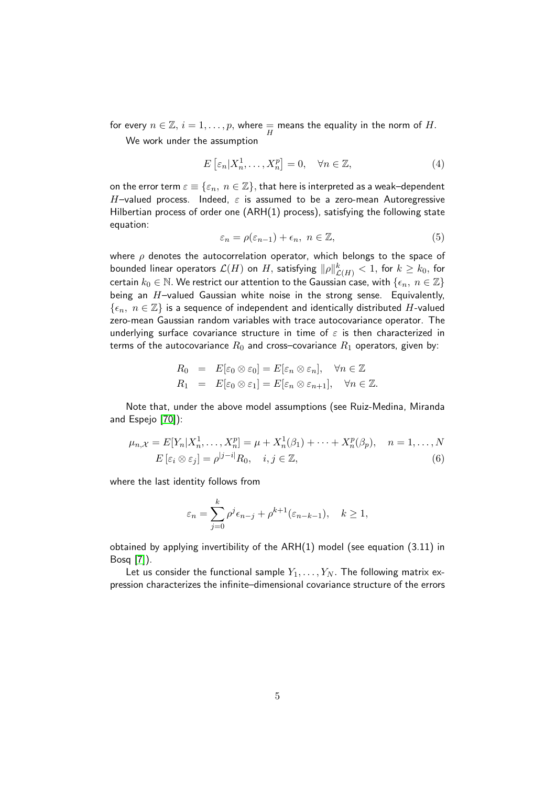for every  $n \in \mathbb{Z}, i = 1, \ldots, p$ , where  $\frac{1}{H}$  means the equality in the norm of  $H.$ We work under the assumption

$$
E\left[\varepsilon_n|X_n^1,\ldots,X_n^p\right] = 0, \quad \forall n \in \mathbb{Z},\tag{4}
$$

on the error term  $\varepsilon \equiv \{\varepsilon_n, n \in \mathbb{Z}\},$  that here is interpreted as a weak–dependent H-valued process. Indeed,  $\varepsilon$  is assumed to be a zero-mean Autoregressive Hilbertian process of order one (ARH(1) process), satisfying the following state equation:

<span id="page-4-0"></span>
$$
\varepsilon_n = \rho(\varepsilon_{n-1}) + \epsilon_n, \ n \in \mathbb{Z}, \tag{5}
$$

where  $\rho$  denotes the autocorrelation operator, which belongs to the space of bounded linear operators  $\mathcal{L}(H)$  on  $H,$  satisfying  $\|\rho\|_{\mathcal{L}(H)}^k< 1,$  for  $k\geq k_0,$  for certain  $k_0 \in \mathbb{N}$ . We restrict our attention to the Gaussian case, with  $\{\epsilon_n, n \in \mathbb{Z}\}$ being an  $H$ -valued Gaussian white noise in the strong sense. Equivalently,  $\{\epsilon_n, n \in \mathbb{Z}\}\$  is a sequence of independent and identically distributed H-valued zero-mean Gaussian random variables with trace autocovariance operator. The underlying surface covariance structure in time of  $\varepsilon$  is then characterized in terms of the autocovariance  $R_0$  and cross–covariance  $R_1$  operators, given by:

$$
R_0 = E[\varepsilon_0 \otimes \varepsilon_0] = E[\varepsilon_n \otimes \varepsilon_n], \quad \forall n \in \mathbb{Z}
$$
  

$$
R_1 = E[\varepsilon_0 \otimes \varepsilon_1] = E[\varepsilon_n \otimes \varepsilon_{n+1}], \quad \forall n \in \mathbb{Z}.
$$

Note that, under the above model assumptions (see Ruiz-Medina, Miranda and Espejo [\[70\]](#page-26-0)):

$$
\mu_{n,X} = E[Y_n | X_n^1, \dots, X_n^p] = \mu + X_n^1(\beta_1) + \dots + X_n^p(\beta_p), \quad n = 1, \dots, N
$$
  

$$
E\left[\varepsilon_i \otimes \varepsilon_j\right] = \rho^{|j-i|} R_0, \quad i, j \in \mathbb{Z}, \tag{6}
$$

where the last identity follows from

$$
\varepsilon_n = \sum_{j=0}^k \rho^j \epsilon_{n-j} + \rho^{k+1}(\varepsilon_{n-k-1}), \quad k \ge 1,
$$

obtained by applying invertibility of the ARH(1) model (see equation (3.11) in Bosq [\[7\]](#page-22-4)).

Let us consider the functional sample  $Y_1, \ldots, Y_N$ . The following matrix expression characterizes the infinite–dimensional covariance structure of the errors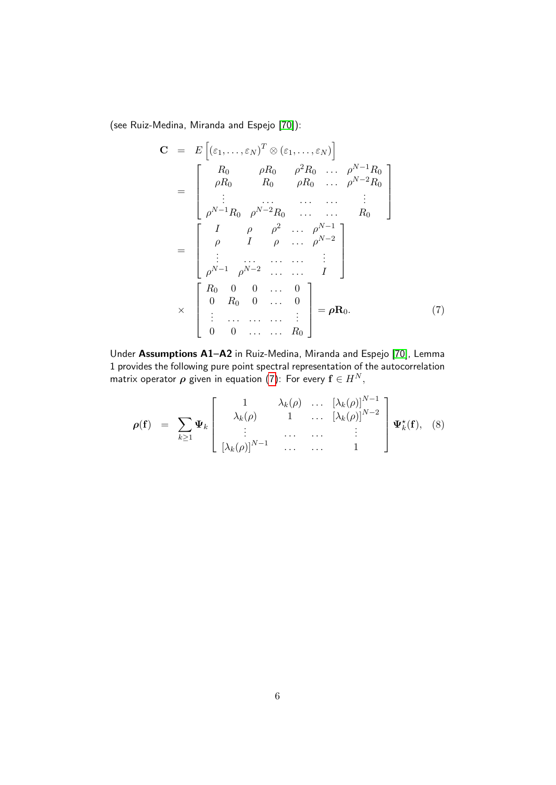(see Ruiz-Medina, Miranda and Espejo [\[70\]](#page-26-0)):

<span id="page-5-0"></span>
$$
\mathbf{C} = E\left[ (\varepsilon_1, \dots, \varepsilon_N)^T \otimes (\varepsilon_1, \dots, \varepsilon_N) \right]
$$
\n
$$
= \begin{bmatrix}\nR_0 & \rho R_0 & \rho^2 R_0 & \dots & \rho^{N-1} R_0 \\
\rho R_0 & R_0 & \rho R_0 & \dots & \rho^{N-2} R_0 \\
\vdots & \dots & \dots & \dots & \vdots \\
\rho^{N-1} R_0 & \rho^{N-2} R_0 & \dots & R_0\n\end{bmatrix}
$$
\n
$$
= \begin{bmatrix}\nI & \rho & \rho^2 & \dots & \rho^{N-1} \\
\rho & I & \rho & \dots & \rho^{N-2} \\
\vdots & \dots & \dots & \dots & \vdots \\
\rho^{N-1} & \rho^{N-2} & \dots & \dots & I\n\end{bmatrix}
$$
\n
$$
\times \begin{bmatrix}\nR_0 & 0 & 0 & \dots & 0 \\
0 & R_0 & 0 & \dots & 0 \\
\vdots & \dots & \dots & \dots & \vdots \\
0 & 0 & \dots & \dots & R_0\n\end{bmatrix} = \rho \mathbf{R}_0.
$$
\n(7)

Under Assumptions A1–A2 in Ruiz-Medina, Miranda and Espejo [\[70\]](#page-26-0), Lemma 1 provides the following pure point spectral representation of the autocorrelation matrix operator  $\rho$  given in equation [\(7\)](#page-5-0): For every  $f \in H^N$ ,

$$
\rho(\mathbf{f}) = \sum_{k \geq 1} \Psi_k \begin{bmatrix} 1 & \lambda_k(\rho) & \cdots & \left[\lambda_k(\rho)\right]^{N-1} \\ \lambda_k(\rho) & 1 & \cdots & \left[\lambda_k(\rho)\right]^{N-2} \\ \vdots & \cdots & \cdots & \vdots \\ \left[\lambda_k(\rho)\right]^{N-1} & \cdots & \cdots & 1 \end{bmatrix} \Psi_k^{\star}(\mathbf{f}), \quad (8)
$$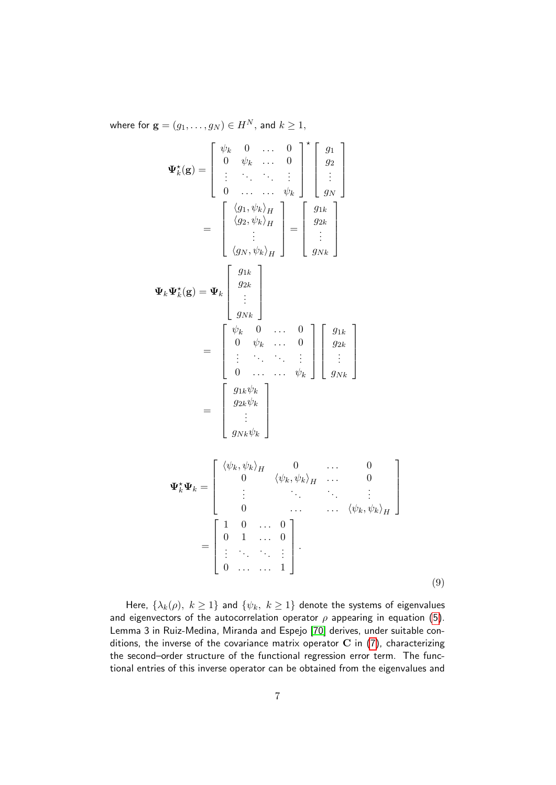where for  $\mathbf{g} = (g_1, \ldots, g_N) \in H^N$ , and  $k \geq 1$ ,

$$
\Psi_{k}^{\star}(\mathbf{g}) = \begin{bmatrix} \psi_{k} & 0 & \dots & 0 \\ 0 & \psi_{k} & \dots & 0 \\ \vdots & \ddots & \ddots & \vdots \\ 0 & \dots & \dots & \psi_{k} \end{bmatrix}^{\star} \begin{bmatrix} g_{1} \\ g_{2} \\ \vdots \\ g_{N} \end{bmatrix}
$$

$$
= \begin{bmatrix} \langle g_{1}, \psi_{k} \rangle_{H} \\ \langle g_{2}, \psi_{k} \rangle_{H} \\ \vdots \\ \langle g_{N}, \psi_{k} \rangle_{H} \end{bmatrix} = \begin{bmatrix} g_{1k} \\ g_{2k} \\ \vdots \\ g_{Nk} \end{bmatrix}
$$

$$
\Psi_{k} \Psi_{k}^{\star}(\mathbf{g}) = \Psi_{k} \begin{bmatrix} g_{1k} \\ g_{2k} \\ \vdots \\ g_{Nk} \end{bmatrix}
$$

$$
= \begin{bmatrix} \psi_{k} & 0 & \dots & 0 \\ 0 & \psi_{k} & \dots & 0 \\ \vdots & \ddots & \ddots & \vdots \\ 0 & \dots & \dots & \psi_{k} \end{bmatrix} \begin{bmatrix} g_{1k} \\ g_{2k} \\ \vdots \\ g_{Nk} \end{bmatrix}
$$

$$
= \begin{bmatrix} g_{1k}\psi_{k} \\ g_{2k}\psi_{k} \\ \vdots \\ g_{Nk}\psi_{k} \end{bmatrix}
$$

$$
\Psi_{k}^{\star} \Psi_{k} = \begin{bmatrix} \langle \psi_{k}, \psi_{k} \rangle_{H} & 0 & \dots & 0 \\ 0 & \langle \psi_{k}, \psi_{k} \rangle_{H} & \dots & 0 \\ \vdots & \ddots & \ddots & \vdots \\ 0 & \dots & \dots & \langle \psi_{k}, \psi_{k} \rangle_{H} \end{bmatrix}
$$

$$
= \begin{bmatrix} 1 & 0 & \dots & 0 \\ 0 & 1 & \dots & 0 \\ \vdots & \ddots & \ddots & \vdots \\ 0 & \dots & \dots & 1 \end{bmatrix}.
$$
(9)

Here,  $\{\lambda_k(\rho), k \geq 1\}$  and  $\{\psi_k, k \geq 1\}$  denote the systems of eigenvalues and eigenvectors of the autocorrelation operator  $\rho$  appearing in equation [\(5\)](#page-4-0). Lemma 3 in Ruiz-Medina, Miranda and Espejo [\[70\]](#page-26-0) derives, under suitable conditions, the inverse of the covariance matrix operator  $C$  in  $(7)$ , characterizing the second–order structure of the functional regression error term. The functional entries of this inverse operator can be obtained from the eigenvalues and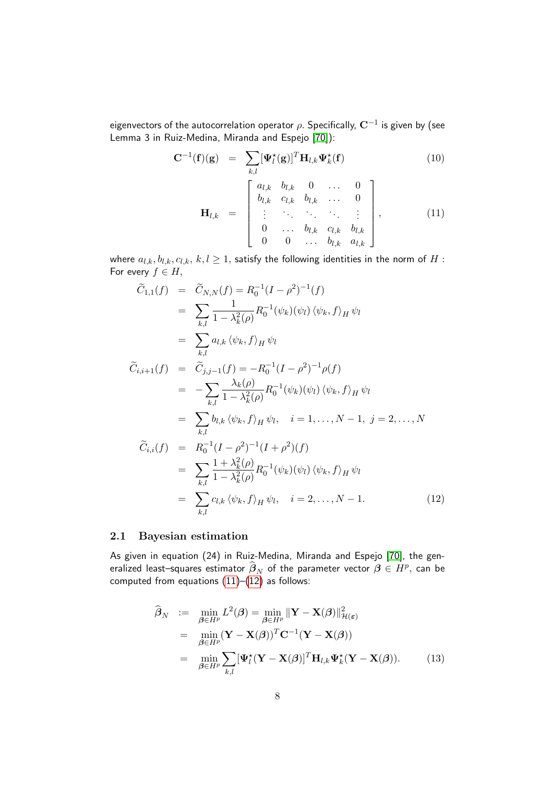eigenvectors of the autocorrelation operator  $\rho.$  Specifically,  ${\bf C}^{-1}$  is given by (see Lemma 3 in Ruiz-Medina, Miranda and Espejo [\[70\]](#page-26-0)):

<span id="page-7-0"></span>
$$
\mathbf{C}^{-1}(\mathbf{f})(\mathbf{g}) = \sum_{k,l} [\mathbf{\Psi}_l^{\star}(\mathbf{g})]^T \mathbf{H}_{l,k} \mathbf{\Psi}_k^{\star}(\mathbf{f})
$$
(10)  

$$
\mathbf{H}_{l,k} = \begin{bmatrix} a_{l,k} & b_{l,k} & 0 & \dots & 0 \\ b_{l,k} & c_{l,k} & b_{l,k} & \dots & 0 \\ \vdots & \vdots & \ddots & \vdots & \vdots \\ 0 & \dots & b_{l,k} & c_{l,k} & b_{l,k} \\ 0 & 0 & \dots & b_{l,k} & a_{l,k} \end{bmatrix},
$$
(11)

where  $a_{l,k}, b_{l,k}, c_{l,k}, k, l \geq 1$ , satisfy the following identities in the norm of H: For every  $f \in H$ ,

<span id="page-7-1"></span>
$$
\widetilde{C}_{1,1}(f) = \widetilde{C}_{N,N}(f) = R_0^{-1}(I - \rho^2)^{-1}(f)
$$
\n
$$
= \sum_{k,l} \frac{1}{1 - \lambda_k^2(\rho)} R_0^{-1}(\psi_k)(\psi_l) \langle \psi_k, f \rangle_H \psi_l
$$
\n
$$
= \sum_{k,l} a_{l,k} \langle \psi_k, f \rangle_H \psi_l
$$
\n
$$
\widetilde{C}_{i,i+1}(f) = \widetilde{C}_{j,j-1}(f) = -R_0^{-1}(I - \rho^2)^{-1} \rho(f)
$$
\n
$$
= -\sum_{k,l} \frac{\lambda_k(\rho)}{1 - \lambda_k^2(\rho)} R_0^{-1}(\psi_k)(\psi_l) \langle \psi_k, f \rangle_H \psi_l
$$
\n
$$
= \sum_{k,l} b_{l,k} \langle \psi_k, f \rangle_H \psi_l, \quad i = 1, ..., N - 1, j = 2, ..., N
$$
\n
$$
\widetilde{C}_{i,i}(f) = R_0^{-1}(I - \rho^2)^{-1}(I + \rho^2)(f)
$$
\n
$$
= \sum_{k,l} \frac{1 + \lambda_k^2(\rho)}{1 - \lambda_k^2(\rho)} R_0^{-1}(\psi_k)(\psi_l) \langle \psi_k, f \rangle_H \psi_l
$$
\n
$$
= \sum_{k,l} c_{l,k} \langle \psi_k, f \rangle_H \psi_l, \quad i = 2, ..., N - 1.
$$
\n(12)

### 2.1 Bayesian estimation

As given in equation (24) in Ruiz-Medina, Miranda and Espejo [\[70\]](#page-26-0), the generalized least–squares estimator  $\widehat{\beta}_N$  of the parameter vector  $\beta \in H^p$ , can be computed from equations  $(11)$ – $(12)$  as follows:

<span id="page-7-2"></span>
$$
\widehat{\boldsymbol{\beta}}_N := \min_{\boldsymbol{\beta} \in H^p} L^2(\boldsymbol{\beta}) = \min_{\boldsymbol{\beta} \in H^p} \|\mathbf{Y} - \mathbf{X}(\boldsymbol{\beta})\|_{\mathcal{H}(\boldsymbol{\varepsilon})}^2
$$
\n
$$
= \min_{\boldsymbol{\beta} \in H^p} (\mathbf{Y} - \mathbf{X}(\boldsymbol{\beta}))^T \mathbf{C}^{-1} (\mathbf{Y} - \mathbf{X}(\boldsymbol{\beta}))
$$
\n
$$
= \min_{\boldsymbol{\beta} \in H^p} \sum_{k,l} [\mathbf{\Psi}_l^{\star} (\mathbf{Y} - \mathbf{X}(\boldsymbol{\beta})]^T \mathbf{H}_{l,k} \mathbf{\Psi}_k^{\star} (\mathbf{Y} - \mathbf{X}(\boldsymbol{\beta})). \tag{13}
$$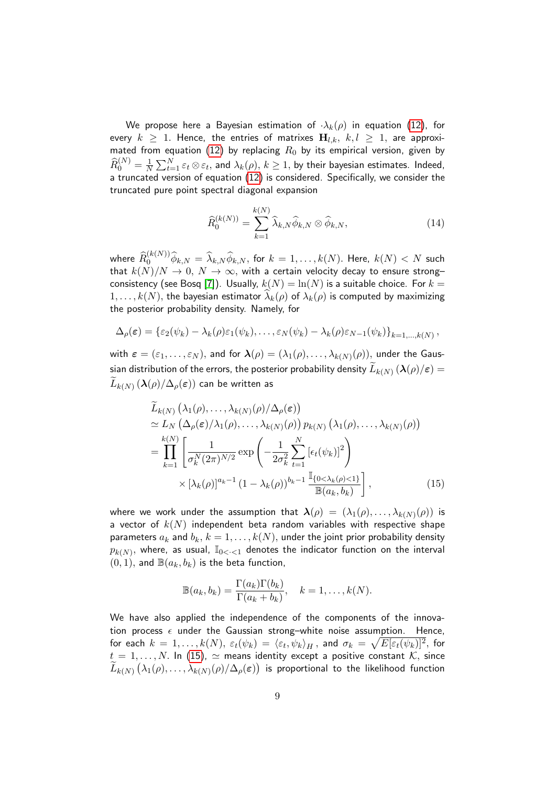We propose here a Bayesian estimation of  $\cdot \lambda_k(\rho)$  in equation [\(12\)](#page-7-1), for every  $k \geq 1$ . Hence, the entries of matrixes  $H_{l,k}, k, l \geq 1$ , are approxi-mated from equation [\(12\)](#page-7-1) by replacing  $R_0$  by its empirical version, given by  $\widehat R_0^{(N)} = \frac{1}{N}$  $\frac{1}{N}\sum_{t=1}^N\varepsilon_t\otimes\varepsilon_t,$  and  $\lambda_k(\rho),\,k\ge1,$  by their bayesian estimates. Indeed, a truncated version of equation [\(12\)](#page-7-1) is considered. Specifically, we consider the truncated pure point spectral diagonal expansion

<span id="page-8-1"></span>
$$
\widehat{R}_0^{(k(N))} = \sum_{k=1}^{k(N)} \widehat{\lambda}_{k,N} \widehat{\phi}_{k,N} \otimes \widehat{\phi}_{k,N},
$$
\n(14)

where  $\widehat{R}_0^{(k(N))}\widehat{\phi}_{k,N}=\widehat{\lambda}_{k,N}\widehat{\phi}_{k,N},$  for  $k=1,\ldots,k(N).$  Here,  $k(N)< N$  such that  $k(N)/N \to 0$ ,  $N \to \infty$ , with a certain velocity decay to ensure strong– consistency (see Bosq [\[7\]](#page-22-4)). Usually,  $k(N) = \ln(N)$  is a suitable choice. For  $k =$  $1, \ldots, k(N)$ , the bayesian estimator  $\lambda_k(\rho)$  of  $\lambda_k(\rho)$  is computed by maximizing the posterior probability density. Namely, for

$$
\Delta_{\rho}(\varepsilon) = \{\varepsilon_2(\psi_k) - \lambda_k(\rho)\varepsilon_1(\psi_k), \dots, \varepsilon_N(\psi_k) - \lambda_k(\rho)\varepsilon_{N-1}(\psi_k)\}_{k=1,\dots,k(N)},
$$

with  $\bm{\varepsilon}=(\varepsilon_1,\ldots,\varepsilon_N),$  and for  $\bm{\lambda}(\rho)=(\lambda_1(\rho),\ldots,\lambda_{k(N)}(\rho)),$  under the Gaussian distribution of the errors, the posterior probability density  $L_{k(N)}\left(\boldsymbol{\lambda}(\rho)/\varepsilon\right)=\ \widetilde{\phantom{n}}$  $L_{k(N)}\left(\boldsymbol{\lambda}(\rho)/\Delta_\rho(\boldsymbol{\varepsilon})\right)$  can be written as

<span id="page-8-0"></span>
$$
\widetilde{L}_{k(N)}\left(\lambda_{1}(\rho),\ldots,\lambda_{k(N)}(\rho)/\Delta_{\rho}(\varepsilon)\right) \n\simeq L_{N}\left(\Delta_{\rho}(\varepsilon)/\lambda_{1}(\rho),\ldots,\lambda_{k(N)}(\rho)\right) p_{k(N)}\left(\lambda_{1}(\rho),\ldots,\lambda_{k(N)}(\rho)\right) \n= \prod_{k=1}^{k(N)} \left[\frac{1}{\sigma_{k}^{N}(2\pi)^{N/2}} \exp\left(-\frac{1}{2\sigma_{k}^{2}} \sum_{t=1}^{N} \left[\epsilon_{t}(\psi_{k})\right]^{2}\right) \n\times \left[\lambda_{k}(\rho)\right]^{a_{k}-1} (1-\lambda_{k}(\rho))^{b_{k}-1} \frac{\mathbb{I}_{\{0<\lambda_{k}(\rho)<1\}}}{\mathbb{B}(a_{k},b_{k})}, \qquad (15)
$$

where we work under the assumption that  $\bm{\lambda}(\rho) \,=\, (\lambda_1(\rho), \ldots, \lambda_{k(N)}(\rho))$  is a vector of  $k(N)$  independent beta random variables with respective shape parameters  $a_k$  and  $b_k$ ,  $k = 1, ..., k(N)$ , under the joint prior probability density  $p_{k(N)},$  where, as usual,  $\mathbb{I}_{0<\cdot<1}$  denotes the indicator function on the interval  $(0, 1)$ , and  $\mathbb{B}(a_k, b_k)$  is the beta function,

$$
\mathbb{B}(a_k, b_k) = \frac{\Gamma(a_k)\Gamma(b_k)}{\Gamma(a_k + b_k)}, \quad k = 1, \dots, k(N).
$$

We have also applied the independence of the components of the innovation process  $\epsilon$  under the Gaussian strong-white noise assumption. Hence, for each  $k~=~1,\dots,k(N),~\varepsilon_t(\psi_k)~=~\langle\varepsilon_t,\psi_k\rangle_H\,,$  and  $\sigma_k~=~\sqrt{E[\varepsilon_t(\psi_k)]^2},$  for  $t = 1, \ldots, N$ . In [\(15\)](#page-8-0),  $\simeq$  means identity except a positive constant  $\mathcal{K}$ , since  $L_{k(N)}\left(\lambda_1(\rho),\ldots,\lambda_{k(N)}(\rho)/\Delta_\rho(\varepsilon)\right)$  is proportional to the likelihood function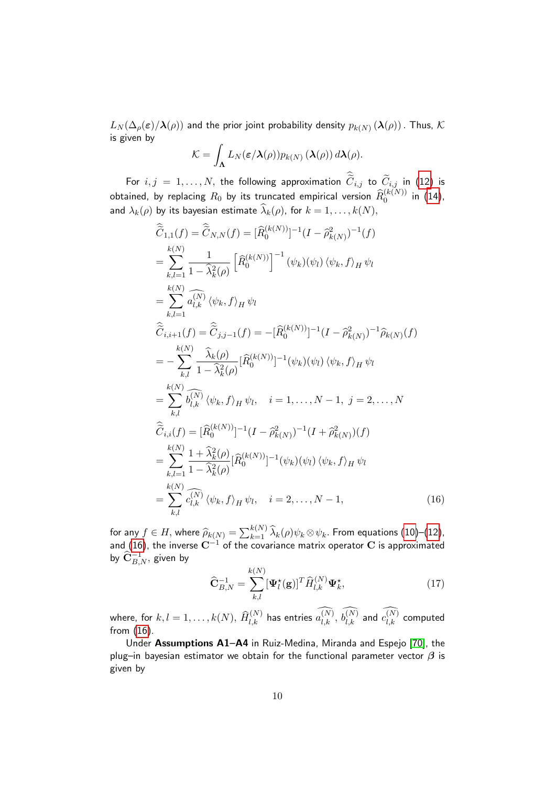$L_N(\Delta_\rho(\bm{\varepsilon})/\bm{\lambda}(\rho))$  and the prior joint probability density  $p_{k(N)}\left(\bm{\lambda}(\rho)\right).$  Thus,  $\bm{\mathcal{K}}$ is given by

$$
\mathcal{K} = \int_{\mathbf{\Lambda}} L_N(\varepsilon/\mathbf{\lambda}(\rho)) p_{k(N)}(\mathbf{\lambda}(\rho)) d\mathbf{\lambda}(\rho).
$$

For  $i,j = 1, \ldots, N$ , the following approximation  $C_{i,j}$  to  $C_{i,j}$  in [\(12\)](#page-7-1) is obtained, by replacing  $R_0$  by its truncated empirical version  $\widehat{R}_0^{(k(N))}$  in [\(14\)](#page-8-1), and  $\lambda_k(\rho)$  by its bayesian estimate  $\lambda_k(\rho)$ , for  $k = 1, ..., k(N)$ ,

<span id="page-9-0"></span>
$$
\begin{split}\n\hat{\tilde{C}}_{1,1}(f) &= \hat{\tilde{C}}_{N,N}(f) = [\hat{R}_{0}^{(k(N))}]^{-1} (I - \hat{\rho}_{k(N)}^{2})^{-1} (f) \\
&= \sum_{k,l=1}^{k(N)} \frac{1}{1 - \hat{\lambda}_{k}^{2}(\rho)} \left[ \hat{R}_{0}^{(k(N))} \right]^{-1} (\psi_{k})(\psi_{l}) (\psi_{k}, f)_{H} \psi_{l} \\
&= \sum_{k,l=1}^{k(N)} \hat{a}_{l,k}^{(N)} (\psi_{k}, f)_{H} \psi_{l} \\
\hat{\tilde{C}}_{i,i+1}(f) &= \hat{\tilde{C}}_{j,j-1}(f) = -[\hat{R}_{0}^{(k(N))}]^{-1} (I - \hat{\rho}_{k(N)}^{2})^{-1} \hat{\rho}_{k(N)}(f) \\
&= -\sum_{k,l} \frac{\hat{\lambda}_{k}(\rho)}{1 - \hat{\lambda}_{k}^{2}(\rho)} [\hat{R}_{0}^{(k(N))}]^{-1} (\psi_{k})(\psi_{l}) (\psi_{k}, f)_{H} \psi_{l} \\
&= \sum_{k,l} \hat{b}_{l,k}^{(N)} (\psi_{k}, f)_{H} \psi_{l}, \quad i = 1, \dots, N-1, \quad j = 2, \dots, N \\
\hat{\tilde{C}}_{i,i}(f) &= [\hat{R}_{0}^{(k(N))}]^{-1} (I - \hat{\rho}_{k(N)}^{2})^{-1} (I + \hat{\rho}_{k(N)}^{2}) (f) \\
&= \sum_{k,l=1}^{k(N)} \frac{1 + \hat{\lambda}_{k}^{2}(\rho)}{1 - \hat{\lambda}_{k}^{2}(\rho)} [\hat{R}_{0}^{(k(N))}]^{-1} (\psi_{k})(\psi_{l}) (\psi_{k}, f)_{H} \psi_{l} \\
&= \sum_{k,l} \hat{c}_{l,k}^{(N)} (\psi_{k}, f)_{H} \psi_{l}, \quad i = 2, \dots, N-1,\n\end{split} \tag{16}
$$

for any  $f \in H$ , where  $\widehat{\rho}_{k(N)} = \sum_{k=1}^{k(N)} \widehat{\lambda}_k(\rho) \psi_k \otimes \psi_k$ . From equations [\(10\)](#page-7-0)–[\(12\)](#page-7-1), and [\(16\)](#page-9-0), the inverse  ${\bf C}^{-1}$  of the covariance matrix operator  ${\bf C}$  is approximated by  $\widehat{\mathbf{C}}^{-1}_{B,N},$  given by

<span id="page-9-1"></span>
$$
\widehat{\mathbf{C}}_{B,N}^{-1} = \sum_{k,l}^{k(N)} [\mathbf{\Psi}_l^{\star}(\mathbf{g})]^T \widehat{H}_{l,k}^{(N)} \mathbf{\Psi}_k^{\star},
$$
\n(17)

where, for  $k,l=1,\ldots,k(N),$   $\widehat{H}_{l,k}^{(N)}$  has entries  $a_{l,k}^{(N)},$   $b_{l,k}^{(N)}$  and  $c_{l,k}^{(N)}$  computed from [\(16\)](#page-9-0).

Under Assumptions A1–A4 in Ruiz-Medina, Miranda and Espejo [\[70\]](#page-26-0), the plug–in bayesian estimator we obtain for the functional parameter vector  $\beta$  is given by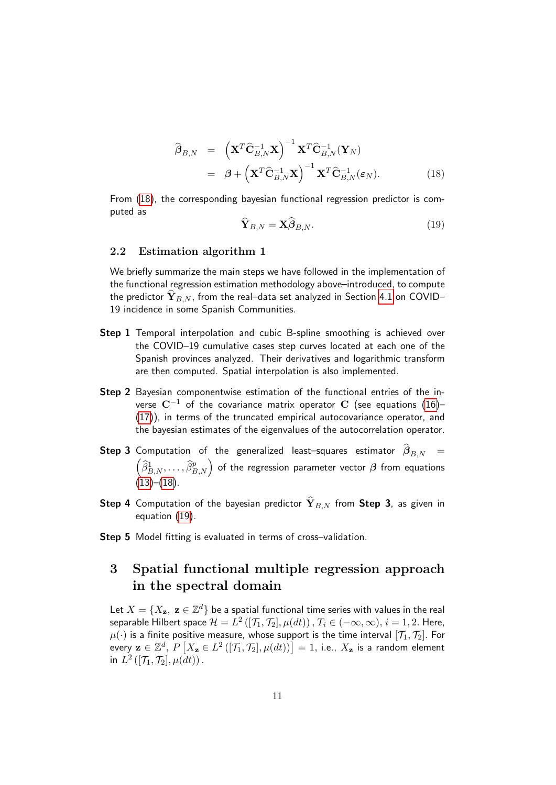<span id="page-10-0"></span>
$$
\widehat{\boldsymbol{\beta}}_{B,N} = \left(\mathbf{X}^T \widehat{\mathbf{C}}_{B,N}^{-1} \mathbf{X}\right)^{-1} \mathbf{X}^T \widehat{\mathbf{C}}_{B,N}^{-1} (\mathbf{Y}_N)
$$
\n
$$
= \boldsymbol{\beta} + \left(\mathbf{X}^T \widehat{\mathbf{C}}_{B,N}^{-1} \mathbf{X}\right)^{-1} \mathbf{X}^T \widehat{\mathbf{C}}_{B,N}^{-1} (\boldsymbol{\varepsilon}_N). \tag{18}
$$

From [\(18\)](#page-10-0), the corresponding bayesian functional regression predictor is computed as

<span id="page-10-1"></span>
$$
\hat{\mathbf{Y}}_{B,N} = \mathbf{X}\hat{\boldsymbol{\beta}}_{B,N}.\tag{19}
$$

### <span id="page-10-2"></span>2.2 Estimation algorithm 1

We briefly summarize the main steps we have followed in the implementation of the functional regression estimation methodology above–introduced, to compute the predictor  $\mathbf{Y}_{B,N}$ , from the real–data set analyzed in Section [4.1](#page-15-0) on COVID– 19 incidence in some Spanish Communities.

- Step 1 Temporal interpolation and cubic B-spline smoothing is achieved over the COVID–19 cumulative cases step curves located at each one of the Spanish provinces analyzed. Their derivatives and logarithmic transform are then computed. Spatial interpolation is also implemented.
- Step 2 Bayesian componentwise estimation of the functional entries of the inverse  $\mathbf{C}^{-1}$  of the covariance matrix operator C (see equations [\(16\)](#page-9-0)– [\(17\)](#page-9-1)), in terms of the truncated empirical autocovariance operator, and the bayesian estimates of the eigenvalues of the autocorrelation operator.
- **Step 3** Computation of the generalized least–squares estimator  $\beta_{B,N}$  =  $\left(\widehat{\beta}_{B,N}^1,\ldots, \widehat{\beta}_{B,N}^p\right)$  of the regression parameter vector  $\boldsymbol{\beta}$  from equations  $(13)–(18)$  $(13)–(18)$  $(13)–(18)$ .
- **Step 4** Computation of the bayesian predictor  $\hat{\mathbf{Y}}_{B,N}$  from **Step 3**, as given in equation [\(19\)](#page-10-1).
- Step 5 Model fitting is evaluated in terms of cross-validation.

# 3 Spatial functional multiple regression approach in the spectral domain

Let  $X = \{X_\mathbf{z},\ \mathbf{z} \in \mathbb{Z}^d\}$  be a spatial functional time series with values in the real separable Hilbert space  $\mathcal{H}=L^{2}\left([ \mathcal{T}_{1}, \mathcal{T}_{2}], \mu(d t) \right),$   $T_{i}\in(-\infty, \infty),$   $i=1,2.$  Here,  $\mu(\cdot)$  is a finite positive measure, whose support is the time interval  $[\mathcal{T}_1, \mathcal{T}_2]$ . For every  $\mathbf{z}\in\mathbb{Z}^d,$   $P\left[X_\mathbf{z}\in L^2\left(\left[\mathcal{T}_1,\mathcal{T}_2\right],\mu(dt)\right)\right]=1,$  i.e.,  $X_\mathbf{z}$  is a random element in  $L^2([\mathcal{T}_1, \mathcal{T}_2], \mu(dt))$ .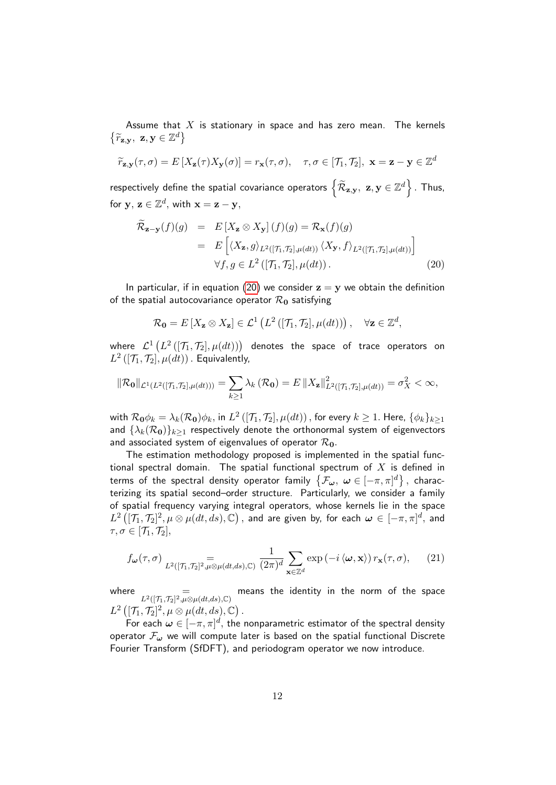Assume that  $X$  is stationary in space and has zero mean. The kernels  $\{\widetilde{r}_{\mathbf{z},\mathbf{y}},\ \mathbf{z},\mathbf{y}\in\mathbb{Z}^d\}$ 

$$
\widetilde{r}_{\mathbf{z},\mathbf{y}}(\tau,\sigma) = E\left[X_{\mathbf{z}}(\tau)X_{\mathbf{y}}(\sigma)\right] = r_{\mathbf{x}}(\tau,\sigma), \quad \tau,\sigma \in [\mathcal{T}_1,\mathcal{T}_2], \ \mathbf{x} = \mathbf{z} - \mathbf{y} \in \mathbb{Z}^d
$$

respectively define the spatial covariance operators  $\left\{\mathcal{\widetilde{R}}_{\mathbf{z}, \mathbf{y}}, \ \mathbf{z}, \mathbf{y} \in \mathbb{Z}^d\right\}$  . Thus, for  $y, z \in \mathbb{Z}^d$ , with  $x = z - y$ ,

<span id="page-11-0"></span>
$$
\widetilde{\mathcal{R}}_{\mathbf{z}-\mathbf{y}}(f)(g) = E\left[X_{\mathbf{z}} \otimes X_{\mathbf{y}}\right](f)(g) = \mathcal{R}_{\mathbf{x}}(f)(g)
$$
\n
$$
= E\left[\langle X_{\mathbf{z}}, g \rangle_{L^{2}([\mathcal{T}_{1}, \mathcal{T}_{2}], \mu(dt))} \langle X_{\mathbf{y}}, f \rangle_{L^{2}([\mathcal{T}_{1}, \mathcal{T}_{2}], \mu(dt))}\right]
$$
\n
$$
\forall f, g \in L^{2}\left([\mathcal{T}_{1}, \mathcal{T}_{2}], \mu(dt)\right).
$$
\n(20)

In particular, if in equation [\(20\)](#page-11-0) we consider  $z = y$  we obtain the definition of the spatial autocovariance operator  $\mathcal{R}_0$  satisfying

$$
\mathcal{R}_{\mathbf{0}} = E\left[X_{\mathbf{z}} \otimes X_{\mathbf{z}}\right] \in \mathcal{L}^{1}\left(L^{2}\left([\mathcal{T}_{1}, \mathcal{T}_{2}], \mu(dt)\right)\right), \quad \forall \mathbf{z} \in \mathbb{Z}^{d},
$$

where  $\mathcal{L}^{1}\left(L^{2}\left([ \mathcal{T}_{1},\mathcal{T}_{2}],\mu(d t)\right)\right)$  denotes the space of trace operators on  $L^{2}\left( [\mathcal{T}_{1},\mathcal{T}_{2}],\mu (dt)\right)$  . Equivalently,

$$
\|\mathcal{R}_{\mathbf{0}}\|_{\mathcal{L}^{1}(L^{2}([\mathcal{T}_{1},\mathcal{T}_{2}],\mu(dt)))}=\sum_{k\geq1}\lambda_{k}\left(\mathcal{R}_{\mathbf{0}}\right)=E\left\|X_{\mathbf{z}}\right\|_{L^{2}([\mathcal{T}_{1},\mathcal{T}_{2}],\mu(dt))}^{2}=\sigma_{X}^{2}<\infty,
$$

with  $\mathcal{R}_0\phi_k=\lambda_k(\mathcal{R}_0)\phi_k,$  in  $L^2\left([ \mathcal{T}_1,\mathcal{T}_2], \mu(dt)\right),$  for every  $k\geq 1.$  Here,  $\{\phi_k\}_{k\geq 1}$ and  $\{\lambda_k(\mathcal{R}_0)\}_{k>1}$  respectively denote the orthonormal system of eigenvectors and associated system of eigenvalues of operator  $\mathcal{R}_{0}$ .

The estimation methodology proposed is implemented in the spatial functional spectral domain. The spatial functional spectrum of  $X$  is defined in terms of the spectral density operator family  $\{\mathcal{F}_{\bm{\omega}},\;\bm{\omega}\in [-\pi,\pi]^d\}\,,$  characterizing its spatial second–order structure. Particularly, we consider a family of spatial frequency varying integral operators, whose kernels lie in the space  $L^2\left([ \mathcal T_1, \mathcal T_2]^2, \mu \otimes \mu(dt, ds), \mathbb C\right),$  and are given by, for each  $\bm \omega \in [-\pi, \pi]^d,$  and  $\tau, \sigma \in [\mathcal{T}_1, \mathcal{T}_2],$ 

$$
f_{\boldsymbol{\omega}}(\tau,\sigma) \underset{L^2([\mathcal{T}_1,\mathcal{T}_2]^2,\mu\otimes\mu(dt,ds),\mathbb{C})}{=} \frac{1}{(2\pi)^d} \sum_{\mathbf{x}\in\mathbb{Z}^d} \exp\left(-i\left\langle \boldsymbol{\omega},\mathbf{x}\right\rangle\right) r_{\mathbf{x}}(\tau,\sigma),\qquad(21)
$$

where  $=$   $=$   $\mu^2([T_1,T_2]^2,\mu\otimes\mu(dt,ds),\mathbb{C})$  means the identity in the norm of the space  $L^2\left( [\mathcal{T}_1,\mathcal{T}_2]^2, \mu \otimes \mu(dt,ds), \mathbb{C} \right)$ .

For each  $\boldsymbol{\omega} \in [-\pi, \pi]^d,$  the nonparametric estimator of the spectral density operator  $\mathcal{F}_{\omega}$  we will compute later is based on the spatial functional Discrete Fourier Transform (SfDFT), and periodogram operator we now introduce.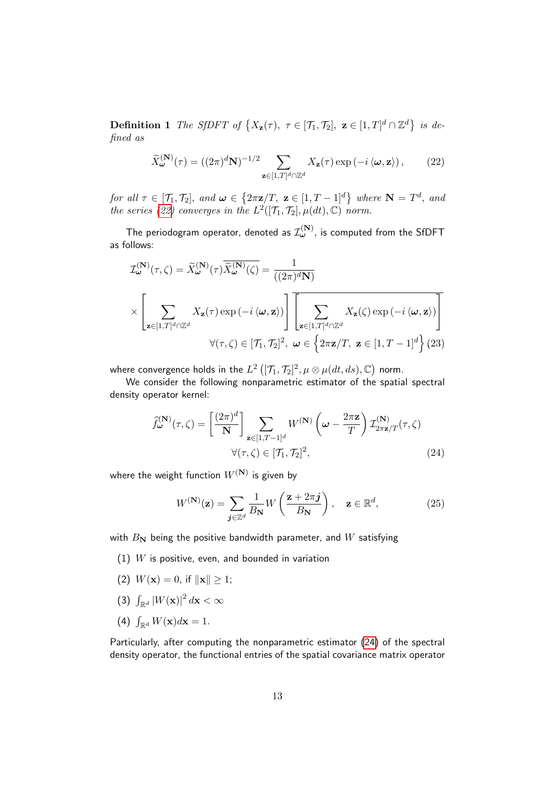**Definition 1** The SfDFT of  $\{X_{\mathbf{z}}(\tau), \ \tau \in [\mathcal{T}_1, \mathcal{T}_2], \ \mathbf{z} \in [1, T]^d \cap \mathbb{Z}^d\}$  is defined as

<span id="page-12-0"></span>
$$
\widetilde{X}_{\boldsymbol{\omega}}^{(\mathbf{N})}(\tau) = ((2\pi)^d \mathbf{N})^{-1/2} \sum_{\mathbf{z} \in [1,T]^d \cap \mathbb{Z}^d} X_{\mathbf{z}}(\tau) \exp\left(-i \left\langle \boldsymbol{\omega}, \mathbf{z} \right\rangle\right),\tag{22}
$$

for all  $\tau \in [\mathcal{T}_1, \mathcal{T}_2]$ , and  $\boldsymbol{\omega} \in \{2\pi \mathbf{z}/T, \ \mathbf{z} \in [1, T-1]^d\}$  where  $\mathbf{N} = T^d$ , and the series [\(22\)](#page-12-0) converges in the  $L^2([\mathcal{T}_1, \mathcal{T}_2], \mu(dt), \mathbb{C})$  norm.

The periodogram operator, denoted as  $\mathcal{I}_{\bm{\omega}}^{(\mathbf{N})},$  is computed from the <code>SfDFT</code> as follows:

$$
\mathcal{I}^{(\mathbf{N})}_{\omega}(\tau,\zeta) = \widetilde{X}^{(\mathbf{N})}_{\omega}(\tau)\overline{\widetilde{X}^{(\mathbf{N})}_{\omega}(\zeta)} = \frac{1}{((2\pi)^{d}\mathbf{N})}
$$
\n
$$
\times \left[\sum_{\mathbf{z}\in[1,T]^{d}\cap\mathbb{Z}^{d}}X_{\mathbf{z}}(\tau)\exp\left(-i\left\langle\omega,\mathbf{z}\right\rangle\right)\right] \overline{\left[\sum_{\mathbf{z}\in[1,T]^{d}\cap\mathbb{Z}^{d}}X_{\mathbf{z}}(\zeta)\exp\left(-i\left\langle\omega,\mathbf{z}\right\rangle\right)\right]}
$$
\n
$$
\forall (\tau,\zeta)\in[T_{1},T_{2}]^{2}, \ \omega\in\left\{2\pi\mathbf{z}/T, \ \mathbf{z}\in[1,T-1]^{d}\right\}(23)
$$

where convergence holds in the  $L^2\left([ \mathcal{T}_1, \mathcal{T}_2]^2, \mu \otimes \mu(d t, d s), \mathbb{C}\right)$  norm.

We consider the following nonparametric estimator of the spatial spectral density operator kernel:

<span id="page-12-1"></span>
$$
\widehat{f}^{(\mathbf{N})}_{\boldsymbol{\omega}}(\tau,\zeta) = \left[\frac{(2\pi)^d}{\mathbf{N}}\right] \sum_{\mathbf{z}\in[1,T-1]^d} W^{(\mathbf{N})}\left(\boldsymbol{\omega}-\frac{2\pi\mathbf{z}}{T}\right) \mathcal{I}^{(\mathbf{N})}_{2\pi\mathbf{z}/T}(\tau,\zeta)
$$
\n
$$
\forall (\tau,\zeta)\in[\mathcal{T}_1,\mathcal{T}_2]^2,\tag{24}
$$

where the weight function  $W^{(\mathbf{N})}$  is given by

$$
W^{(\mathbf{N})}(\mathbf{z}) = \sum_{\mathbf{j} \in \mathbb{Z}^d} \frac{1}{B_{\mathbf{N}}} W\left(\frac{\mathbf{z} + 2\pi \mathbf{j}}{B_{\mathbf{N}}}\right), \quad \mathbf{z} \in \mathbb{R}^d,
$$
 (25)

with  $B_N$  being the positive bandwidth parameter, and W satisfying

- (1)  $W$  is positive, even, and bounded in variation
- (2)  $W(\mathbf{x}) = 0$ , if  $\|\mathbf{x}\| > 1$ ;
- (3)  $\int_{\mathbb{R}^d} |W(\mathbf{x})|^2 d\mathbf{x} < \infty$
- (4)  $\int_{\mathbb{R}^d} W(\mathbf{x}) d\mathbf{x} = 1.$

Particularly, after computing the nonparametric estimator [\(24\)](#page-12-1) of the spectral density operator, the functional entries of the spatial covariance matrix operator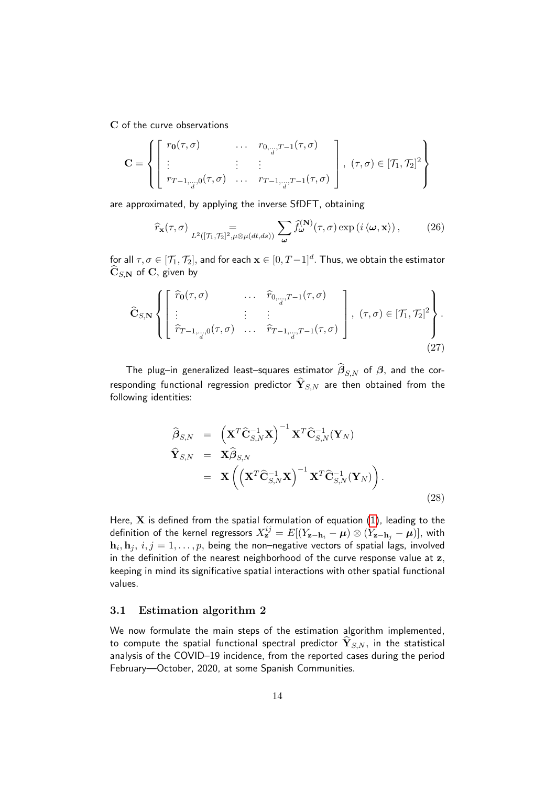C of the curve observations

$$
\mathbf{C} = \left\{ \begin{bmatrix} r_{\mathbf{0}}(\tau,\sigma) & \cdots & r_{0,\ldots,T-1}(\tau,\sigma) \\ \vdots & \vdots & \vdots \\ r_{T-1,\ldots,0}(\tau,\sigma) & \cdots & r_{T-1,\ldots,T-1}(\tau,\sigma) \end{bmatrix}, (\tau,\sigma) \in [\mathcal{T}_1,\mathcal{T}_2]^2 \right\}
$$

are approximated, by applying the inverse SfDFT, obtaining

$$
\widehat{r}_{\mathbf{x}}(\tau,\sigma) \underset{L^2([\mathcal{T}_1,\mathcal{T}_2]^2,\mu\otimes\mu(dt,ds))}{=} \sum_{\omega} \widehat{f}_{\omega}^{(\mathbf{N})}(\tau,\sigma) \exp\left(i\left\langle\omega,\mathbf{x}\right\rangle\right),\tag{26}
$$

for all  $\tau,\sigma\in[{\cal T}_1,{\cal T}_2],$  and for each  ${\bf x}\in[0,T-1]^d.$  Thus, we obtain the estimator  $\hat{\mathbf{C}}_{S,\mathbf{N}}$  of C, given by

$$
\widehat{\mathbf{C}}_{S,\mathbf{N}}\left\{\left[\begin{array}{cccc} \widehat{r}_{\mathbf{0}}(\tau,\sigma) & \cdots & \widehat{r}_{0,\ldots,T-1}(\tau,\sigma) \\ \vdots & \vdots & \vdots \\ \widehat{r}_{T-1,\ldots,0}(\tau,\sigma) & \cdots & \widehat{r}_{T-1,\ldots,T-1}(\tau,\sigma) \end{array}\right], (\tau,\sigma)\in[\mathcal{T}_1,\mathcal{T}_2]^2\right\}.
$$
\n(27)

The plug–in generalized least–squares estimator  $\beta_{S,N}$  of  $\beta$ , and the corresponding functional regression predictor  $\widehat{\mathbf{Y}}_{S,N}$  are then obtained from the following identities:

<span id="page-13-0"></span>
$$
\widehat{\boldsymbol{\beta}}_{S,N} = \left(\mathbf{X}^T \widehat{\mathbf{C}}_{S,N}^{-1} \mathbf{X}\right)^{-1} \mathbf{X}^T \widehat{\mathbf{C}}_{S,N}^{-1} (\mathbf{Y}_N)
$$
\n
$$
\widehat{\mathbf{Y}}_{S,N} = \mathbf{X} \widehat{\boldsymbol{\beta}}_{S,N}
$$
\n
$$
= \mathbf{X} \left( \left(\mathbf{X}^T \widehat{\mathbf{C}}_{S,N}^{-1} \mathbf{X}\right)^{-1} \mathbf{X}^T \widehat{\mathbf{C}}_{S,N}^{-1} (\mathbf{Y}_N) \right).
$$
\n(28)

Here,  $X$  is defined from the spatial formulation of equation  $(1)$ , leading to the definition of the kernel regressors  $X^{ij}_{\bf z}=E[(Y_{{\bf z}-{\bf h}_i}-\bm\mu)\otimes(Y_{{\bf z}-{\bf h}_j}-\bm\mu)],$  with  $\mathbf{h}_i, \mathbf{h}_j, \, i,j=1,\ldots,p,$  being the non–negative vectors of spatial lags, involved in the definition of the nearest neighborhood of the curve response value at z, keeping in mind its significative spatial interactions with other spatial functional values.

### <span id="page-13-1"></span>3.1 Estimation algorithm 2

We now formulate the main steps of the estimation algorithm implemented, to compute the spatial functional spectral predictor  $\mathbf{Y}_{S,N}$ , in the statistical analysis of the COVID–19 incidence, from the reported cases during the period February—October, 2020, at some Spanish Communities.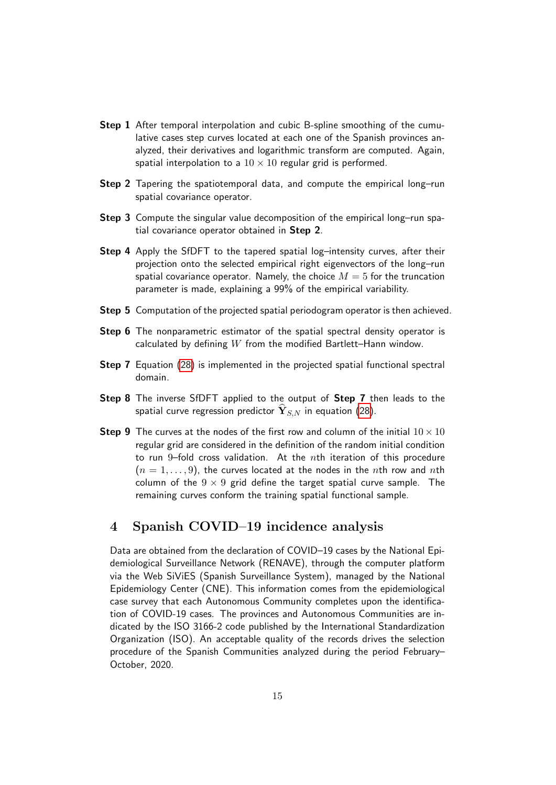- **Step 1** After temporal interpolation and cubic B-spline smoothing of the cumulative cases step curves located at each one of the Spanish provinces analyzed, their derivatives and logarithmic transform are computed. Again, spatial interpolation to a  $10 \times 10$  regular grid is performed.
- Step 2 Tapering the spatiotemporal data, and compute the empirical long-run spatial covariance operator.
- **Step 3** Compute the singular value decomposition of the empirical long–run spatial covariance operator obtained in Step 2.
- Step 4 Apply the SfDFT to the tapered spatial log-intensity curves, after their projection onto the selected empirical right eigenvectors of the long–run spatial covariance operator. Namely, the choice  $M = 5$  for the truncation parameter is made, explaining a 99% of the empirical variability.
- Step 5 Computation of the projected spatial periodogram operator is then achieved.
- Step 6 The nonparametric estimator of the spatial spectral density operator is calculated by defining  $W$  from the modified Bartlett–Hann window.
- Step 7 Equation [\(28\)](#page-13-0) is implemented in the projected spatial functional spectral domain.
- Step 8 The inverse SfDFT applied to the output of Step 7 then leads to the spatial curve regression predictor  $\mathbf{Y}_{S,N}$  in equation [\(28\)](#page-13-0).
- **Step 9** The curves at the nodes of the first row and column of the initial  $10 \times 10$ regular grid are considered in the definition of the random initial condition to run 9-fold cross validation. At the nth iteration of this procedure  $(n = 1, \ldots, 9)$ , the curves located at the nodes in the nth row and nth column of the  $9 \times 9$  grid define the target spatial curve sample. The remaining curves conform the training spatial functional sample.

# 4 Spanish COVID–19 incidence analysis

Data are obtained from the declaration of COVID–19 cases by the National Epidemiological Surveillance Network (RENAVE), through the computer platform via the Web SiViES (Spanish Surveillance System), managed by the National Epidemiology Center (CNE). This information comes from the epidemiological case survey that each Autonomous Community completes upon the identification of COVID-19 cases. The provinces and Autonomous Communities are indicated by the ISO 3166-2 code published by the International Standardization Organization (ISO). An acceptable quality of the records drives the selection procedure of the Spanish Communities analyzed during the period February– October, 2020.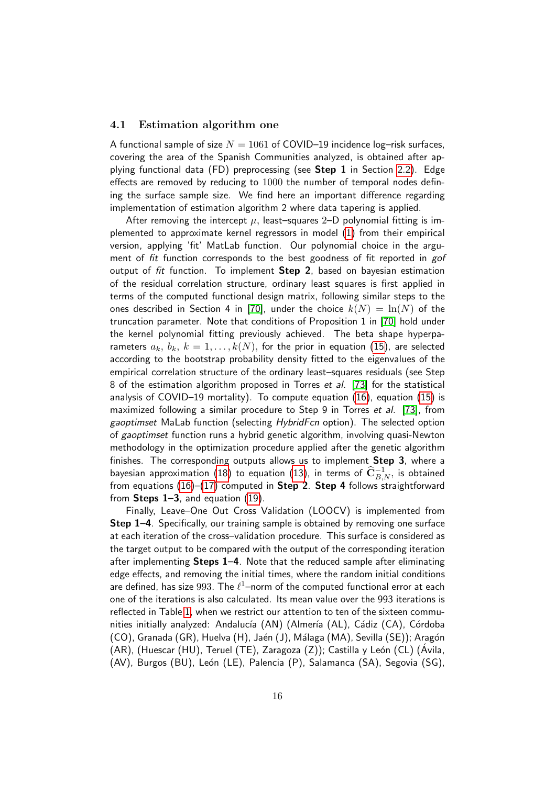### <span id="page-15-0"></span>4.1 Estimation algorithm one

A functional sample of size  $N = 1061$  of COVID–19 incidence log–risk surfaces, covering the area of the Spanish Communities analyzed, is obtained after applying functional data (FD) preprocessing (see **Step 1** in Section [2.2\)](#page-10-2). Edge effects are removed by reducing to 1000 the number of temporal nodes defining the surface sample size. We find here an important difference regarding implementation of estimation algorithm 2 where data tapering is applied.

After removing the intercept  $\mu$ , least–squares 2–D polynomial fitting is implemented to approximate kernel regressors in model [\(1\)](#page-3-0) from their empirical version, applying 'fit' MatLab function. Our polynomial choice in the argument of *fit* function corresponds to the best goodness of fit reported in *gof* output of fit function. To implement Step 2, based on bayesian estimation of the residual correlation structure, ordinary least squares is first applied in terms of the computed functional design matrix, following similar steps to the ones described in Section 4 in [\[70\]](#page-26-0), under the choice  $k(N) = \ln(N)$  of the truncation parameter. Note that conditions of Proposition 1 in [\[70\]](#page-26-0) hold under the kernel polynomial fitting previously achieved. The beta shape hyperparameters  $a_k, b_k, k = 1, \ldots, k(N)$ , for the prior in equation [\(15\)](#page-8-0), are selected according to the bootstrap probability density fitted to the eigenvalues of the empirical correlation structure of the ordinary least–squares residuals (see Step 8 of the estimation algorithm proposed in Torres et al. [\[73\]](#page-26-5) for the statistical analysis of COVID–19 mortality). To compute equation [\(16\)](#page-9-0), equation [\(15\)](#page-8-0) is maximized following a similar procedure to Step 9 in Torres et al. [\[73\]](#page-26-5), from gaoptimset MaLab function (selecting HybridFcn option). The selected option of gaoptimset function runs a hybrid genetic algorithm, involving quasi-Newton methodology in the optimization procedure applied after the genetic algorithm finishes. The corresponding outputs allows us to implement Step 3, where a bayesian approximation [\(18\)](#page-10-0) to equation [\(13\)](#page-7-2), in terms of  $\widehat{\mathbf{C}}^{-1}_{B,N}$ , is obtained from equations [\(16\)](#page-9-0)–[\(17\)](#page-9-1) computed in Step 2. Step 4 follows straightforward from **Steps 1–3**, and equation  $(19)$ .

Finally, Leave–One Out Cross Validation (LOOCV) is implemented from Step 1–4. Specifically, our training sample is obtained by removing one surface at each iteration of the cross–validation procedure. This surface is considered as the target output to be compared with the output of the corresponding iteration after implementing Steps 1–4. Note that the reduced sample after eliminating edge effects, and removing the initial times, where the random initial conditions are defined, has size  $993$ . The  $\ell^1$ –norm of the computed functional error at each one of the iterations is also calculated. Its mean value over the 993 iterations is reflected in Table [1,](#page-16-0) when we restrict our attention to ten of the sixteen communities initially analyzed: Andalucía (AN) (Almería (AL), Cádiz (CA), Córdoba (CO), Granada (GR), Huelva (H), Jaén (J), Málaga (MA), Sevilla (SE)); Aragón (AR), (Huescar (HU), Teruel (TE), Zaragoza (Z)); Castilla y León (CL) (Ávila, (AV), Burgos (BU), León (LE), Palencia (P), Salamanca (SA), Segovia (SG),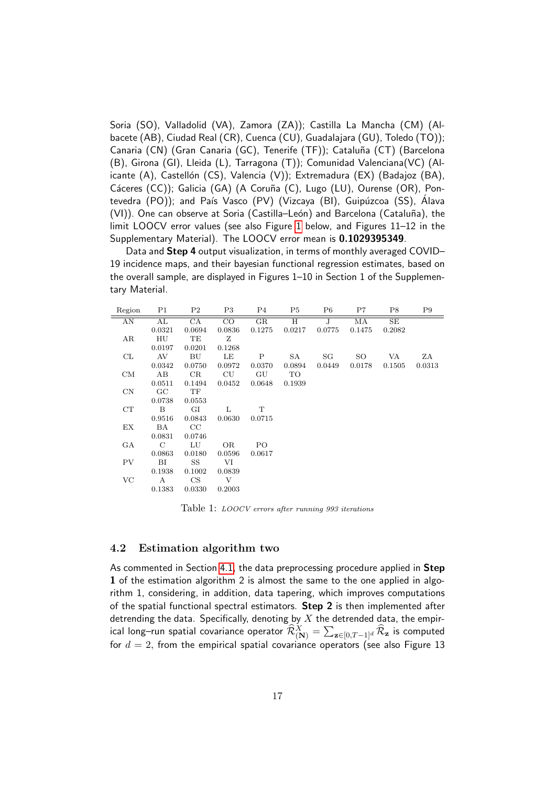Soria (SO), Valladolid (VA), Zamora (ZA)); Castilla La Mancha (CM) (Albacete (AB), Ciudad Real (CR), Cuenca (CU), Guadalajara (GU), Toledo (TO)); Canaria (CN) (Gran Canaria (GC), Tenerife (TF)); Cataluña (CT) (Barcelona (B), Girona (GI), Lleida (L), Tarragona (T)); Comunidad Valenciana(VC) (Alicante (A), Castellón (CS), Valencia (V)); Extremadura (EX) (Badajoz (BA), Cáceres (CC)); Galicia (GA) (A Coruña (C), Lugo (LU), Ourense (OR), Pontevedra (PO)); and País Vasco (PV) (Vizcaya (BI), Guipúzcoa (SS), Álava (VI)). One can observe at Soria (Castilla–León) and Barcelona (Cataluña), the limit LOOCV error values (see also Figure [1](#page-17-0) below, and Figures 11–12 in the Supplementary Material). The LOOCV error mean is 0.1029395349.

Data and Step 4 output visualization, in terms of monthly averaged COVID– 19 incidence maps, and their bayesian functional regression estimates, based on the overall sample, are displayed in Figures 1–10 in Section 1 of the Supplementary Material.

| Region      | P <sub>1</sub> | P <sub>2</sub> | P3        | P4          | P5     | P6     | P7     | P8     | P9     |
|-------------|----------------|----------------|-----------|-------------|--------|--------|--------|--------|--------|
| AN          | AL             | CA             | CO        | $_{\rm GR}$ | Н      | J      | МA     | SE     |        |
|             | 0.0321         | 0.0694         | 0.0836    | 0.1275      | 0.0217 | 0.0775 | 0.1475 | 0.2082 |        |
| AR          | HU             | TE             | Ζ         |             |        |        |        |        |        |
|             | 0.0197         | 0.0201         | 0.1268    |             |        |        |        |        |        |
| CL          | AV             | BU             | LE        | Ρ           | SA     | SG     | SO     | VA     | ZΑ     |
|             | 0.0342         | 0.0750         | 0.0972    | 0.0370      | 0.0894 | 0.0449 | 0.0178 | 0.1505 | 0.0313 |
| CM          | AB             | CR             | $\rm{CU}$ | GU          | TO     |        |        |        |        |
|             | 0.0511         | 0.1494         | 0.0452    | 0.0648      | 0.1939 |        |        |        |        |
| $\text{CN}$ | GC             | TF             |           |             |        |        |        |        |        |
|             | 0.0738         | 0.0553         |           |             |        |        |        |        |        |
| CT          | B              | GI             | L         | T           |        |        |        |        |        |
|             | 0.9516         | 0.0843         | 0.0630    | 0.0715      |        |        |        |        |        |
| EX          | ΒA             | CC             |           |             |        |        |        |        |        |
|             | 0.0831         | 0.0746         |           |             |        |        |        |        |        |
| GА          | $\mathcal{C}$  | LU             | <b>OR</b> | PО          |        |        |        |        |        |
|             | 0.0863         | 0.0180         | 0.0596    | 0.0617      |        |        |        |        |        |
| <b>PV</b>   | BI             | SS             | VI        |             |        |        |        |        |        |
|             | 0.1938         | 0.1002         | 0.0839    |             |        |        |        |        |        |
| VC          | A              | CS             | V         |             |        |        |        |        |        |
|             | 0.1383         | 0.0330         | 0.2003    |             |        |        |        |        |        |

<span id="page-16-0"></span>Table 1: LOOCV errors after running 993 iterations

### 4.2 Estimation algorithm two

As commented in Section [4.1,](#page-15-0) the data preprocessing procedure applied in Step 1 of the estimation algorithm 2 is almost the same to the one applied in algorithm 1, considering, in addition, data tapering, which improves computations of the spatial functional spectral estimators. Step 2 is then implemented after detrending the data. Specifically, denoting by  $X$  the detrended data, the empirical long–run spatial covariance operator  $\widehat{\mathcal{R}}^X_{({\bf N})}=\sum_{{\bf z}\in[0,T-1]^d}\widehat{\mathcal{R}}_{\bf z}$  is computed for  $d = 2$ , from the empirical spatial covariance operators (see also Figure 13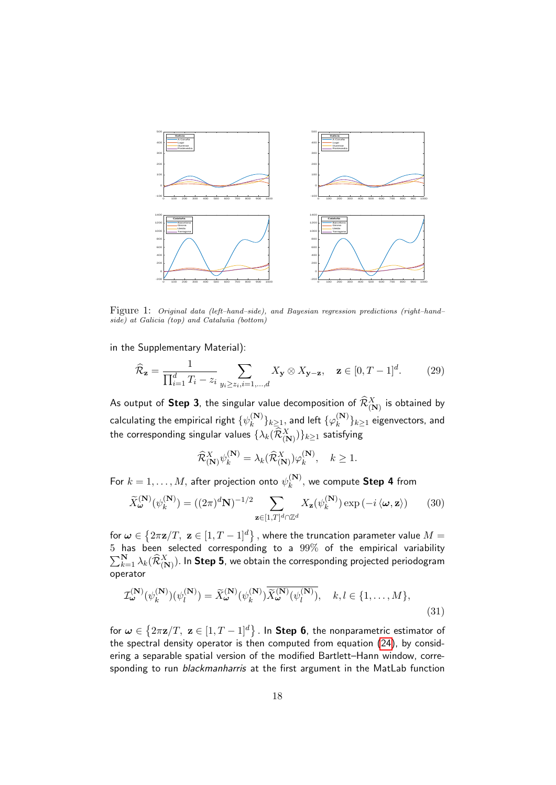

<span id="page-17-0"></span>Figure 1: Original data (left–hand–side), and Bayesian regression predictions (right–hand– side) at Galicia (top) and Cataluña (bottom)

in the Supplementary Material):

$$
\widehat{\mathcal{R}}_{\mathbf{z}} = \frac{1}{\prod_{i=1}^{d} T_i - z_i} \sum_{y_i \ge z_i, i=1,\dots,d} X_{\mathbf{y}} \otimes X_{\mathbf{y}-\mathbf{z}}, \quad \mathbf{z} \in [0, T-1]^d. \tag{29}
$$

As output of  $\mathsf{Step\ 3},$  the singular value decomposition of  $\widehat{\mathcal{R}}^X_{(\mathbf{N})}$  is obtained by calculating the empirical right  $\{\psi_k^{(\mathbf{N})}\}$  $\{k}^{(\mathbf{N})}\}_{k\geq 1},$  and left  $\{\varphi_k^{(\mathbf{N})}\}$  $\binom{N}{k}$  $\}_{k\geq 1}$  eigenvectors, and the corresponding singular values  $\{\lambda_k(\widehat{\mathcal{R}}^X_{(\mathbf{N})})\}_{k\geq 1}$  satisfying

$$
\widehat{\mathcal{R}}_{(\mathbf{N})}^{X} \psi_k^{(\mathbf{N})} = \lambda_k(\widehat{\mathcal{R}}_{(\mathbf{N})}^{X}) \varphi_k^{(\mathbf{N})}, \quad k \ge 1.
$$

For  $k=1,\ldots,M,$  after projection onto  $\psi_k^{(\mathbf{N})}$  $\mathbf{k}^{(\mathbf{N})}_{k}$ , we compute **Step 4** from

$$
\widetilde{X}_{\boldsymbol{\omega}}^{(\mathbf{N})}(\psi_k^{(\mathbf{N})}) = ((2\pi)^d \mathbf{N})^{-1/2} \sum_{\mathbf{z} \in [1,T]^d \cap \mathbb{Z}^d} X_{\mathbf{z}}(\psi_k^{(\mathbf{N})}) \exp\left(-i \left\langle \boldsymbol{\omega}, \mathbf{z} \right\rangle\right) \tag{30}
$$

for  $\bm{\omega} \in \left\{ 2\pi \mathbf{z}/T, \; \mathbf{z} \in [1,T-1]^d \right\},$  where the truncation parameter value  $M=$  $5$  has been selected corresponding to a  $99\%$  of the empirical variability  $\sum_{k=1}^{\mathbf{N}} \lambda_k(\widehat{\mathcal{R}}^X_{(\mathbf{N})}).$  In  $\textbf{Step 5}$ , we obtain the corresponding projected periodogram operator

$$
\mathcal{I}_{\boldsymbol{\omega}}^{(\mathbf{N})}(\psi_k^{(\mathbf{N})})(\psi_l^{(\mathbf{N})}) = \widetilde{X}_{\boldsymbol{\omega}}^{(\mathbf{N})}(\psi_k^{(\mathbf{N})}) \widetilde{X}_{\boldsymbol{\omega}}^{(\mathbf{N})}(\psi_l^{(\mathbf{N})}), \quad k, l \in \{1, \dots, M\},
$$
\n(31)

for  $\bm{\omega} \in \left\{ 2\pi \mathbf{z}/T, \; \mathbf{z} \in [1,T-1]^d \right\}$  . In  $\bm{\mathsf{Step}}\;\bm{6},$  the nonparametric estimator of the spectral density operator is then computed from equation [\(24\)](#page-12-1), by considering a separable spatial version of the modified Bartlett–Hann window, corresponding to run blackmanharris at the first argument in the MatLab function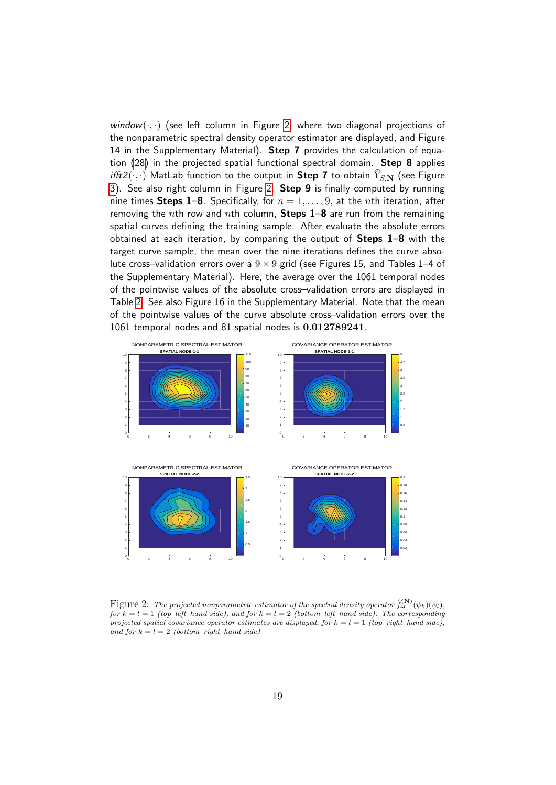window $(\cdot, \cdot)$  (see left column in Figure [2,](#page-18-0) where two diagonal projections of the nonparametric spectral density operator estimator are displayed, and Figure 14 in the Supplementary Material). Step 7 provides the calculation of equation [\(28\)](#page-13-0) in the projected spatial functional spectral domain. Step 8 applies ifft2( $\cdot$ , $\cdot$ ) MatLab function to the output in Step 7 to obtain  $\hat{Y}_{S,N}$  (see Figure [3\)](#page-19-0). See also right column in Figure [2.](#page-18-0) Step 9 is finally computed by running nine times **Steps 1–8**. Specifically, for  $n = 1, \ldots, 9$ , at the *n*th iteration, after removing the nth row and nth column, Steps  $1-8$  are run from the remaining spatial curves defining the training sample. After evaluate the absolute errors obtained at each iteration, by comparing the output of Steps 1–8 with the target curve sample, the mean over the nine iterations defines the curve absolute cross–validation errors over a  $9 \times 9$  grid (see Figures 15, and Tables 1–4 of the Supplementary Material). Here, the average over the 1061 temporal nodes of the pointwise values of the absolute cross–validation errors are displayed in Table [2.](#page-20-1) See also Figure 16 in the Supplementary Material. Note that the mean of the pointwise values of the curve absolute cross–validation errors over the 1061 temporal nodes and 81 spatial nodes is 0.012789241.



<span id="page-18-0"></span>Figure 2: The projected nonparametric estimator of the spectral density operator  $\widehat{f}_{\boldsymbol{\omega}}^{(N)}(\psi_k)(\psi_l)$ , for  $k = l = 1$  (top-left-hand side), and for  $k = l = 2$  (bottom-left-hand side). The corresponding projected spatial covariance operator estimates are displayed, for  $k = l = 1$  (top–right–hand side), and for  $k = l = 2$  (bottom–right–hand side)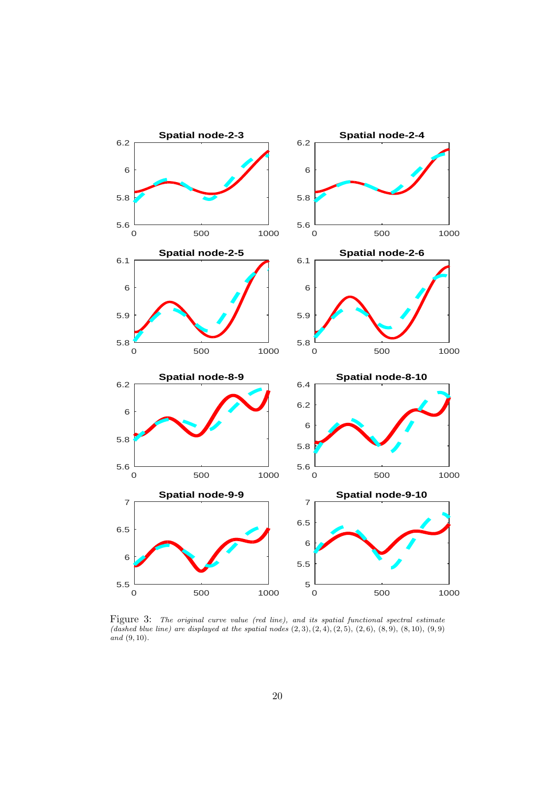

<span id="page-19-0"></span>Figure 3: The original curve value (red line), and its spatial functional spectral estimate (dashed blue line) are displayed at the spatial nodes  $(2, 3), (2, 4), (2, 5), (2, 6), (8, 9), (8, 10), (9, 9)$  $and (9, 10).$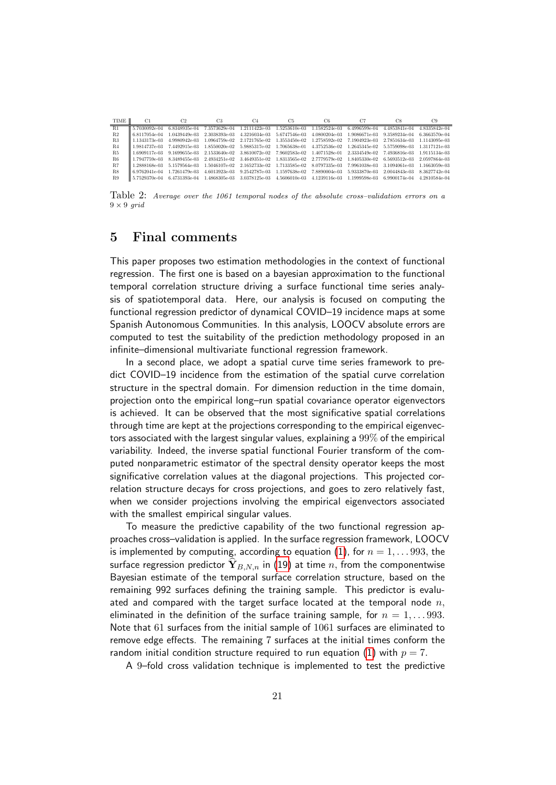| <b>TIME</b>    | C1            | C2            | C3            | C <sub>4</sub> | C5            | C6            | C7            | C8            | C9            |
|----------------|---------------|---------------|---------------|----------------|---------------|---------------|---------------|---------------|---------------|
| R1             | 5.7030092e-04 | 6.8348935e-04 | 7.3573629e-04 | 1.2111422e-03  | 1.5253610e-03 | 1.1582524e-03 | 6.4996599e-04 | 4.4853841e-04 | 4.8335842e-04 |
| R <sub>2</sub> | 6.8117054e-04 | 1.0439449e-03 | 2.3038393e-03 | 4.3216034e-03  | 5.6747546e-03 | 4.0800204e-03 | 1.9086671e-03 | 9.3589234e-04 | 6.3663570e-04 |
| R3             | .1343173e-03  | 4.9980942e-03 | 1.0964759e-02 | 2.1721765e-02  | 1.3553450e-02 | 1.2758592e-02 | 7.1904923e-03 | 2.7851634e-03 | 1.1143095e-03 |
| R <sub>4</sub> | .9814737e-03  | 7.4492915e-03 | 1.8550020e-02 | 5.9885317e-02  | 1.7065638e-01 | 4.3752536e-02 | 1.2645345e-02 | 5.5759098e-03 | 1.3117121e-03 |
| R <sub>5</sub> | -6909117e-03  | 9.1699655e-03 | 2.1533640e-02 | 3.8610072e-02  | 7.9602583e-02 | 1.4071528e-01 | 2.3334549e-02 | 7.4936816e-03 | 1.9115134e-03 |
| R6             | L7947759e-03  | 8.3489455e-03 | 2.4934251e-02 | 3.4649351e-02  | 1.8313565e-02 | 2.7779579e-02 | L8405330e-02  | 6.5693512e-03 | 2.0597864e-03 |
| R7             | .2888168e-03  | 5.1579564e-03 | 1.5046107e-02 | 2.1652733e-02  | 1.7133585e-02 | 8.0797335e-03 | 7.9961038e-03 | 3.1094061e-03 | 1.1663059e-03 |
| R8             | 6.9762041e-04 | 1.7261479e-03 | 4.6013923e-03 | 9.2542787e-03  | 1.1597638e-02 | 7.8890004e-03 | 5.9333870e-03 | 2.0044843e-03 | 8.3627742e-04 |
| R9             | 5.7529370e-04 | 6.4731393e-04 | 1.4868305e-03 | 3.0378125e-03  | 4.5606010e-03 | 4.1239116e-03 | .1999598e-03  | 6.9900174e-04 | 4.2810584e-04 |

<span id="page-20-1"></span>Table 2: Average over the 1061 temporal nodes of the absolute cross–validation errors on a  $9 \times 9$  grid

# <span id="page-20-0"></span>5 Final comments

This paper proposes two estimation methodologies in the context of functional regression. The first one is based on a bayesian approximation to the functional temporal correlation structure driving a surface functional time series analysis of spatiotemporal data. Here, our analysis is focused on computing the functional regression predictor of dynamical COVID–19 incidence maps at some Spanish Autonomous Communities. In this analysis, LOOCV absolute errors are computed to test the suitability of the prediction methodology proposed in an infinite–dimensional multivariate functional regression framework.

In a second place, we adopt a spatial curve time series framework to predict COVID–19 incidence from the estimation of the spatial curve correlation structure in the spectral domain. For dimension reduction in the time domain, projection onto the empirical long–run spatial covariance operator eigenvectors is achieved. It can be observed that the most significative spatial correlations through time are kept at the projections corresponding to the empirical eigenvectors associated with the largest singular values, explaining a 99% of the empirical variability. Indeed, the inverse spatial functional Fourier transform of the computed nonparametric estimator of the spectral density operator keeps the most significative correlation values at the diagonal projections. This projected correlation structure decays for cross projections, and goes to zero relatively fast, when we consider projections involving the empirical eigenvectors associated with the smallest empirical singular values.

To measure the predictive capability of the two functional regression approaches cross–validation is applied. In the surface regression framework, LOOCV is implemented by computing, according to equation [\(1\)](#page-3-0), for  $n = 1, \ldots 993$ , the surface regression predictor  $\hat{\mathbf{Y}}_{B,N,n}$  in [\(19\)](#page-10-1) at time n, from the componentwise Bayesian estimate of the temporal surface correlation structure, based on the remaining 992 surfaces defining the training sample. This predictor is evaluated and compared with the target surface located at the temporal node  $n$ , eliminated in the definition of the surface training sample, for  $n = 1, \ldots 993$ . Note that 61 surfaces from the initial sample of 1061 surfaces are eliminated to remove edge effects. The remaining 7 surfaces at the initial times conform the random initial condition structure required to run equation [\(1\)](#page-3-0) with  $p = 7$ .

A 9–fold cross validation technique is implemented to test the predictive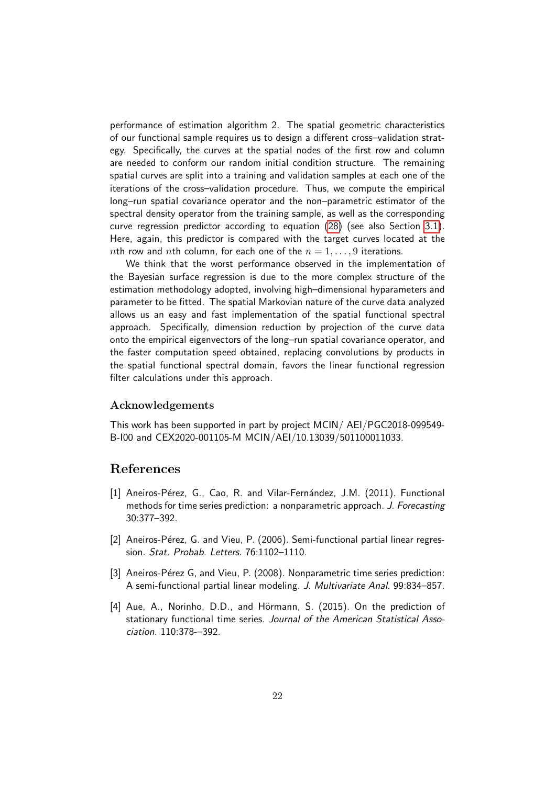performance of estimation algorithm 2. The spatial geometric characteristics of our functional sample requires us to design a different cross–validation strategy. Specifically, the curves at the spatial nodes of the first row and column are needed to conform our random initial condition structure. The remaining spatial curves are split into a training and validation samples at each one of the iterations of the cross–validation procedure. Thus, we compute the empirical long–run spatial covariance operator and the non–parametric estimator of the spectral density operator from the training sample, as well as the corresponding curve regression predictor according to equation [\(28\)](#page-13-0) (see also Section [3.1\)](#page-13-1). Here, again, this predictor is compared with the target curves located at the *nth row and nth column, for each one of the*  $n = 1, \ldots, 9$  *iterations.* 

We think that the worst performance observed in the implementation of the Bayesian surface regression is due to the more complex structure of the estimation methodology adopted, involving high–dimensional hyparameters and parameter to be fitted. The spatial Markovian nature of the curve data analyzed allows us an easy and fast implementation of the spatial functional spectral approach. Specifically, dimension reduction by projection of the curve data onto the empirical eigenvectors of the long–run spatial covariance operator, and the faster computation speed obtained, replacing convolutions by products in the spatial functional spectral domain, favors the linear functional regression filter calculations under this approach.

### Acknowledgements

This work has been supported in part by project MCIN/ AEI/PGC2018-099549- B-I00 and CEX2020-001105-M MCIN/AEI/10.13039/501100011033.

### References

- <span id="page-21-3"></span>[1] Aneiros-Pérez, G., Cao, R. and Vilar-Fernández, J.M. (2011). Functional methods for time series prediction: a nonparametric approach. J. Forecasting 30:377–392.
- <span id="page-21-0"></span>[2] Aneiros-Pérez, G. and Vieu, P. (2006). Semi-functional partial linear regression. Stat. Probab. Letters. 76:1102–1110.
- <span id="page-21-1"></span>[3] Aneiros-Pérez G, and Vieu, P. (2008). Nonparametric time series prediction: A semi-functional partial linear modeling. J. Multivariate Anal. 99:834–857.
- <span id="page-21-2"></span>[4] Aue, A., Norinho, D.D., and Hörmann, S. (2015). On the prediction of stationary functional time series. Journal of the American Statistical Association. 110:378-–392.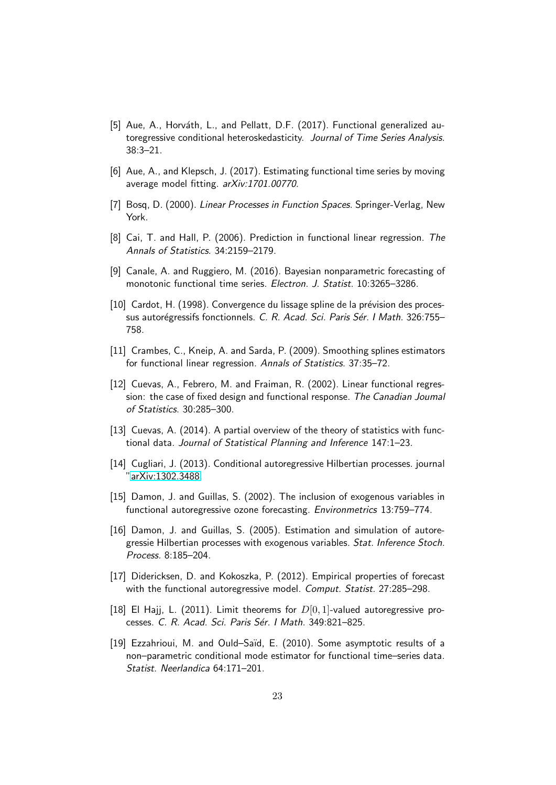- <span id="page-22-6"></span>[5] Aue, A., Horváth, L., and Pellatt, D.F. (2017). Functional generalized autoregressive conditional heteroskedasticity. Journal of Time Series Analysis. 38:3–21.
- <span id="page-22-7"></span>[6] Aue, A., and Klepsch, J. (2017). Estimating functional time series by moving average model fitting. arXiv:1701.00770.
- <span id="page-22-4"></span>[7] Bosq, D. (2000). Linear Processes in Function Spaces. Springer-Verlag, New York.
- <span id="page-22-0"></span>[8] Cai, T. and Hall, P. (2006). Prediction in functional linear regression. The Annals of Statistics. 34:2159–2179.
- <span id="page-22-14"></span>[9] Canale, A. and Ruggiero, M. (2016). Bayesian nonparametric forecasting of monotonic functional time series. Electron. J. Statist. 10:3265–3286.
- <span id="page-22-5"></span>[10] Cardot, H. (1998). Convergence du lissage spline de la prévision des processus autorégressifs fonctionnels. C. R. Acad. Sci. Paris Sér. I Math. 326:755– 758.
- <span id="page-22-1"></span>[11] Crambes, C., Kneip, A. and Sarda, P. (2009). Smoothing splines estimators for functional linear regression. Annals of Statistics. 37:35–72.
- <span id="page-22-3"></span>[12] Cuevas, A., Febrero, M. and Fraiman, R. (2002). Linear functional regression: the case of fixed design and functional response. The Canadian Joumal of Statistics. 30:285–300.
- <span id="page-22-2"></span>[13] Cuevas, A. (2014). A partial overview of the theory of statistics with functional data. Journal of Statistical Planning and Inference 147:1–23.
- <span id="page-22-8"></span>[14] Cugliari, J. (2013). Conditional autoregressive Hilbertian processes. journal ["arXiv:1302.3488.](http://arxiv.org/abs/1302.3488)
- <span id="page-22-9"></span>[15] Damon, J. and Guillas, S. (2002). The inclusion of exogenous variables in functional autoregressive ozone forecasting. Environmetrics 13:759–774.
- <span id="page-22-10"></span>[16] Damon, J. and Guillas, S. (2005). Estimation and simulation of autoregressie Hilbertian processes with exogenous variables. Stat. Inference Stoch. Process. 8:185–204.
- <span id="page-22-11"></span>[17] Didericksen, D. and Kokoszka, P. (2012). Empirical properties of forecast with the functional autoregressive model. Comput. Statist. 27:285-298.
- <span id="page-22-12"></span>[18] El Hajj, L. (2011). Limit theorems for  $D[0, 1]$ -valued autoregressive processes. C. R. Acad. Sci. Paris Sér. I Math. 349:821–825.
- <span id="page-22-13"></span>[19] Ezzahrioui, M. and Ould–Saïd, E. (2010). Some asymptotic results of a non–parametric conditional mode estimator for functional time–series data. Statist. Neerlandica 64:171–201.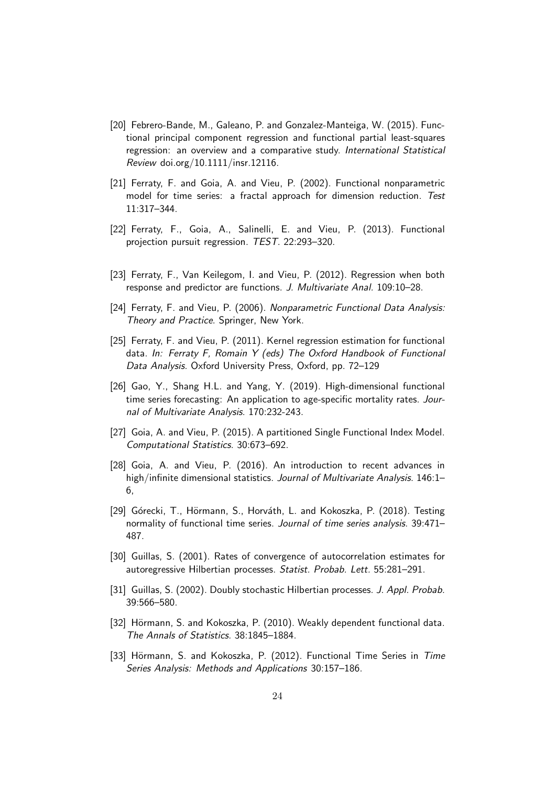- <span id="page-23-1"></span>[20] Febrero-Bande, M., Galeano, P. and Gonzalez-Manteiga, W. (2015). Functional principal component regression and functional partial least-squares regression: an overview and a comparative study. International Statistical Review doi.org/10.1111/insr.12116.
- <span id="page-23-13"></span>[21] Ferraty, F. and Goia, A. and Vieu, P. (2002). Functional nonparametric model for time series: a fractal approach for dimension reduction. Test 11:317–344.
- <span id="page-23-5"></span>[22] Ferraty, F., Goia, A., Salinelli, E. and Vieu, P. (2013). Functional projection pursuit regression. TEST. 22:293–320.
- <span id="page-23-3"></span>[23] Ferraty, F., Van Keilegom, I. and Vieu, P. (2012). Regression when both response and predictor are functions. J. Multivariate Anal. 109:10–28.
- <span id="page-23-2"></span>[24] Ferraty, F. and Vieu, P. (2006). Nonparametric Functional Data Analysis: Theory and Practice. Springer, New York.
- <span id="page-23-4"></span>[25] Ferraty, F. and Vieu, P. (2011). Kernel regression estimation for functional data. In: Ferraty F, Romain Y (eds) The Oxford Handbook of Functional Data Analysis. Oxford University Press, Oxford, pp. 72–129
- <span id="page-23-8"></span>[26] Gao, Y., Shang H.L. and Yang, Y. (2019). High-dimensional functional time series forecasting: An application to age-specific mortality rates. Journal of Multivariate Analysis. 170:232-243.
- <span id="page-23-6"></span>[27] Goia, A. and Vieu, P. (2015). A partitioned Single Functional Index Model. Computational Statistics. 30:673–692.
- <span id="page-23-7"></span>[28] Goia, A. and Vieu, P. (2016). An introduction to recent advances in high/infinite dimensional statistics. Journal of Multivariate Analysis. 146:1-6,
- <span id="page-23-12"></span>[29] Górecki, T., Hörmann, S., Horváth, L. and Kokoszka, P. (2018). Testing normality of functional time series. Journal of time series analysis. 39:471– 487.
- <span id="page-23-9"></span>[30] Guillas, S. (2001). Rates of convergence of autocorrelation estimates for autoregressive Hilbertian processes. Statist. Probab. Lett. 55:281–291.
- <span id="page-23-10"></span>[31] Guillas, S. (2002). Doubly stochastic Hilbertian processes. J. Appl. Probab. 39:566–580.
- <span id="page-23-0"></span>[32] Hörmann, S. and Kokoszka, P. (2010). Weakly dependent functional data. The Annals of Statistics. 38:1845–1884.
- <span id="page-23-11"></span>[33] Hörmann, S. and Kokoszka, P. (2012). Functional Time Series in Time Series Analysis: Methods and Applications 30:157–186.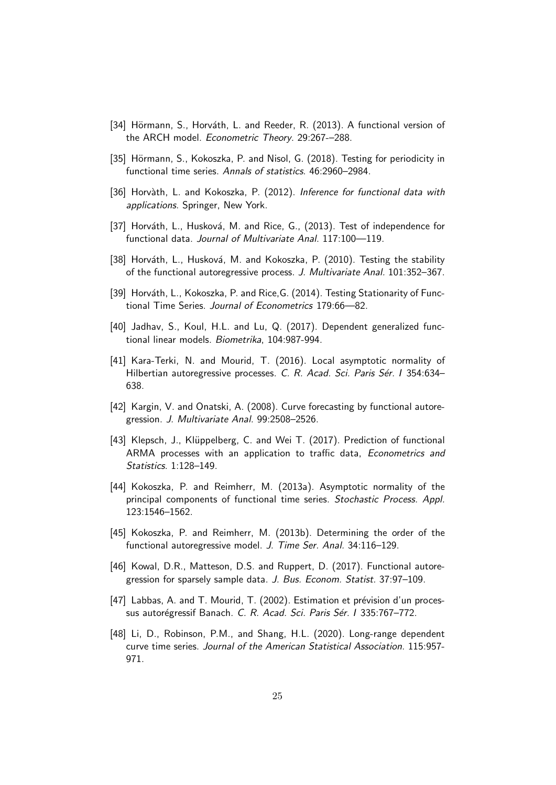- <span id="page-24-3"></span>[34] Hörmann, S., Horváth, L. and Reeder, R. (2013). A functional version of the ARCH model. Econometric Theory. 29:267-–288.
- <span id="page-24-12"></span>[35] Hörmann, S., Kokoszka, P. and Nisol, G. (2018). Testing for periodicity in functional time series. Annals of statistics. 46:2960–2984.
- <span id="page-24-0"></span>[36] Horvàth, L. and Kokoszka, P. (2012). Inference for functional data with applications. Springer, New York.
- <span id="page-24-13"></span>[37] Horváth, L., Husková, M. and Rice, G., (2013). Test of independence for functional data. Journal of Multivariate Anal. 117:100—119.
- <span id="page-24-4"></span>[38] Horváth, L., Husková, M. and Kokoszka, P. (2010). Testing the stability of the functional autoregressive process. J. Multivariate Anal. 101:352–367.
- <span id="page-24-5"></span>[39] Horváth, L., Kokoszka, P. and Rice,G. (2014). Testing Stationarity of Functional Time Series. Journal of Econometrics 179:66—82.
- <span id="page-24-1"></span>[40] Jadhav, S., Koul, H.L. and Lu, Q. (2017). Dependent generalized functional linear models. Biometrika, 104:987-994.
- <span id="page-24-6"></span>[41] Kara-Terki, N. and Mourid, T. (2016). Local asymptotic normality of Hilbertian autoregressive processes. C. R. Acad. Sci. Paris Sér. I 354:634– 638.
- <span id="page-24-7"></span>[42] Kargin, V. and Onatski, A. (2008). Curve forecasting by functional autoregression. J. Multivariate Anal. 99:2508–2526.
- <span id="page-24-8"></span>[43] Klepsch, J., Klüppelberg, C. and Wei T. (2017). Prediction of functional ARMA processes with an application to traffic data, Econometrics and Statistics. 1:128–149.
- <span id="page-24-9"></span>[44] Kokoszka, P. and Reimherr, M. (2013a). Asymptotic normality of the principal components of functional time series. Stochastic Process. Appl. 123:1546–1562.
- <span id="page-24-10"></span>[45] Kokoszka, P. and Reimherr, M. (2013b). Determining the order of the functional autoregressive model. J. Time Ser. Anal. 34:116-129.
- <span id="page-24-11"></span>[46] Kowal, D.R., Matteson, D.S. and Ruppert, D. (2017). Functional autoregression for sparsely sample data. J. Bus. Econom. Statist. 37:97–109.
- <span id="page-24-2"></span>[47] Labbas, A. and T. Mourid, T. (2002). Estimation et prévision d'un processus autorégressif Banach. C. R. Acad. Sci. Paris Sér. I 335:767–772.
- <span id="page-24-14"></span>[48] Li, D., Robinson, P.M., and Shang, H.L. (2020). Long-range dependent curve time series. Journal of the American Statistical Association. 115:957- 971.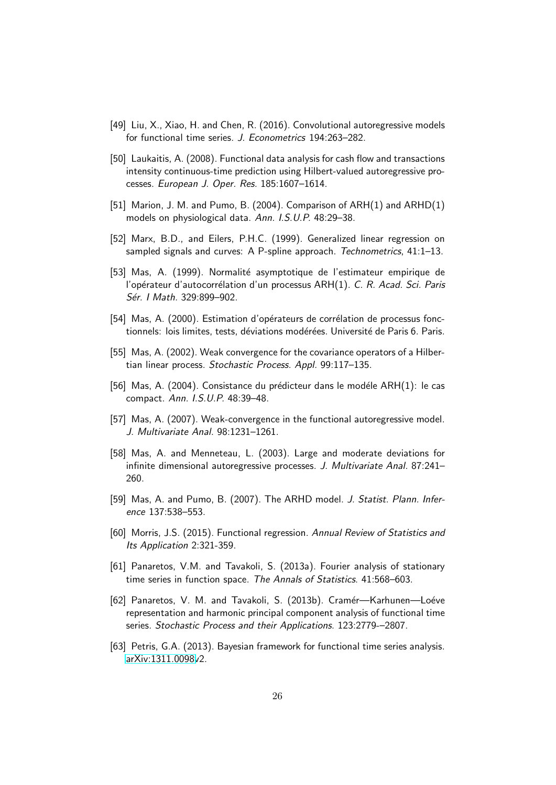- <span id="page-25-5"></span>[49] Liu, X., Xiao, H. and Chen, R. (2016). Convolutional autoregressive models for functional time series. J. Econometrics 194:263–282.
- <span id="page-25-4"></span>[50] Laukaitis, A. (2008). Functional data analysis for cash flow and transactions intensity continuous-time prediction using Hilbert-valued autoregressive processes. European J. Oper. Res. 185:1607–1614.
- <span id="page-25-2"></span>[51] Marion, J. M. and Pumo, B. (2004). Comparison of ARH(1) and ARHD(1) models on physiological data. Ann. I.S.U.P. 48:29–38.
- <span id="page-25-0"></span>[52] Marx, B.D., and Eilers, P.H.C. (1999). Generalized linear regression on sampled signals and curves: A P-spline approach. Technometrics, 41:1-13.
- <span id="page-25-3"></span>[53] Mas. A. (1999). Normalité asymptotique de l'estimateur empirique de l'opérateur d'autocorrélation d'un processus ARH(1). C. R. Acad. Sci. Paris Sér. I Math. 329:899-902.
- <span id="page-25-6"></span>[54] Mas, A. (2000). Estimation d'opérateurs de corrélation de processus fonctionnels: lois limites, tests, déviations modérées. Université de Paris 6. Paris.
- <span id="page-25-7"></span>[55] Mas, A. (2002). Weak convergence for the covariance operators of a Hilbertian linear process. Stochastic Process. Appl. 99:117–135.
- <span id="page-25-8"></span>[56] Mas, A. (2004). Consistance du prédicteur dans le modéle  $ARH(1)$ : le cas compact. Ann. I.S.U.P. 48:39–48.
- <span id="page-25-9"></span>[57] Mas, A. (2007). Weak-convergence in the functional autoregressive model. J. Multivariate Anal. 98:1231–1261.
- <span id="page-25-10"></span>[58] Mas, A. and Menneteau, L. (2003). Large and moderate deviations for infinite dimensional autoregressive processes. J. Multivariate Anal. 87:241– 260.
- <span id="page-25-11"></span>[59] Mas, A. and Pumo, B. (2007). The ARHD model. J. Statist. Plann. Inference 137:538–553.
- <span id="page-25-1"></span>[60] Morris, J.S. (2015). Functional regression. Annual Review of Statistics and Its Application 2:321-359.
- <span id="page-25-13"></span>[61] Panaretos, V.M. and Tavakoli, S. (2013a). Fourier analysis of stationary time series in function space. The Annals of Statistics. 41:568–603.
- <span id="page-25-14"></span>[62] Panaretos, V. M. and Tavakoli, S. (2013b). Cramér-Karhunen-Loéve representation and harmonic principal component analysis of functional time series. Stochastic Process and their Applications. 123:2779-–2807.
- <span id="page-25-12"></span>[63] Petris, G.A. (2013). Bayesian framework for functional time series analysis. [arXiv:1311.0098v](http://arxiv.org/abs/1311.0098)2.